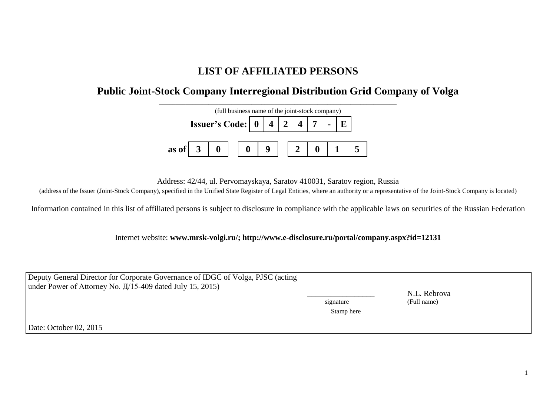## **LIST OF AFFILIATED PERSONS**

## **Public Joint-Stock Company Interregional Distribution Grid Company of Volga**



Address: 42/44, ul. Pervomayskaya, Saratov 410031, Saratov region, Russia

(address of the Issuer (Joint-Stock Company), specified in the Unified State Register of Legal Entities, where an authority or a representative of the Joint-Stock Company is located)

Information contained in this list of affiliated persons is subject to disclosure in compliance with the applicable laws on securities of the Russian Federation

Internet website: **www.mrsk-volgi.ru/; http://www.e-disclosure.ru/portal/company.aspx?id=12131**

| Deputy General Director for Corporate Governance of IDGC of Volga, PJSC (acting | signature  | N.L. Rebrova |  |
|---------------------------------------------------------------------------------|------------|--------------|--|
| under Power of Attorney No. $\frac{\pi}{15-409}$ dated July 15, 2015)           | Stamp here | (Full name)  |  |
| Date: October 02, 2015                                                          |            |              |  |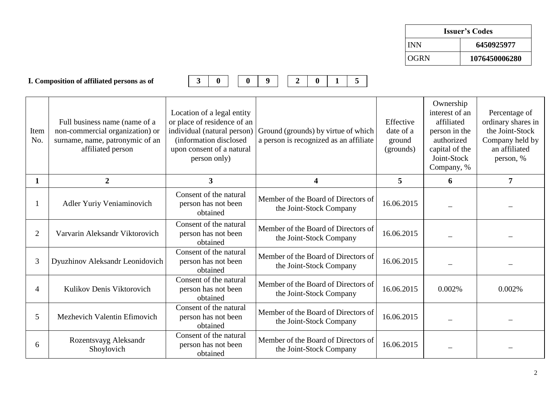| <b>Issuer's Codes</b> |               |  |  |
|-----------------------|---------------|--|--|
| <b>INN</b>            | 6450925977    |  |  |
| OGRN                  | 1076450006280 |  |  |

**I. Composition of affiliated persons as of 3 0 0 9 2 0 1 5**

| Item<br>No.    | Full business name (name of a<br>non-commercial organization) or<br>surname, name, patronymic of an<br>affiliated person | Location of a legal entity<br>or place of residence of an<br>individual (natural person)<br>(information disclosed)<br>upon consent of a natural<br>person only) | Ground (grounds) by virtue of which<br>a person is recognized as an affiliate | Effective<br>date of a<br>ground<br>(grounds) | Ownership<br>interest of an<br>affiliated<br>person in the<br>authorized<br>capital of the<br>Joint-Stock<br>Company, % | Percentage of<br>ordinary shares in<br>the Joint-Stock<br>Company held by<br>an affiliated<br>person, % |
|----------------|--------------------------------------------------------------------------------------------------------------------------|------------------------------------------------------------------------------------------------------------------------------------------------------------------|-------------------------------------------------------------------------------|-----------------------------------------------|-------------------------------------------------------------------------------------------------------------------------|---------------------------------------------------------------------------------------------------------|
| 1              | $\boldsymbol{2}$                                                                                                         | 3                                                                                                                                                                | $\overline{\mathbf{4}}$                                                       | 5                                             | 6                                                                                                                       | 7                                                                                                       |
|                | Adler Yuriy Veniaminovich                                                                                                | Consent of the natural<br>person has not been<br>obtained                                                                                                        | Member of the Board of Directors of<br>the Joint-Stock Company                | 16.06.2015                                    |                                                                                                                         |                                                                                                         |
| $\overline{2}$ | Varvarin Aleksandr Viktorovich                                                                                           | Consent of the natural<br>person has not been<br>obtained                                                                                                        | Member of the Board of Directors of<br>the Joint-Stock Company                | 16.06.2015                                    |                                                                                                                         |                                                                                                         |
| 3              | Dyuzhinov Aleksandr Leonidovich                                                                                          | Consent of the natural<br>person has not been<br>obtained                                                                                                        | Member of the Board of Directors of<br>the Joint-Stock Company                | 16.06.2015                                    |                                                                                                                         |                                                                                                         |
| 4              | Kulikov Denis Viktorovich                                                                                                | Consent of the natural<br>person has not been<br>obtained                                                                                                        | Member of the Board of Directors of<br>the Joint-Stock Company                | 16.06.2015                                    | 0.002%                                                                                                                  | 0.002%                                                                                                  |
| 5              | Mezhevich Valentin Efimovich                                                                                             | Consent of the natural<br>person has not been<br>obtained                                                                                                        | Member of the Board of Directors of<br>the Joint-Stock Company                | 16.06.2015                                    |                                                                                                                         |                                                                                                         |
| 6              | Rozentsvayg Aleksandr<br>Shoylovich                                                                                      | Consent of the natural<br>person has not been<br>obtained                                                                                                        | Member of the Board of Directors of<br>the Joint-Stock Company                | 16.06.2015                                    |                                                                                                                         |                                                                                                         |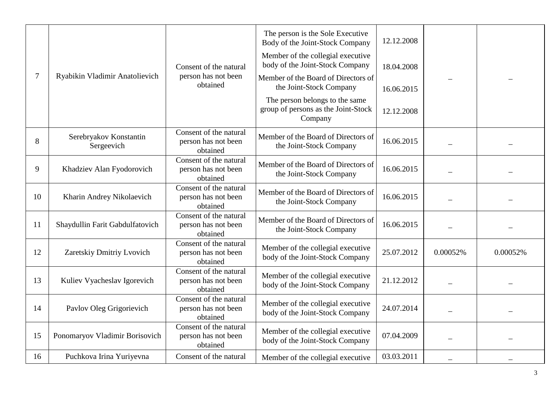|        |                                      |                                                           | The person is the Sole Executive<br>Body of the Joint-Stock Company              | 12.12.2008 |          |          |
|--------|--------------------------------------|-----------------------------------------------------------|----------------------------------------------------------------------------------|------------|----------|----------|
|        |                                      | Consent of the natural                                    | Member of the collegial executive<br>body of the Joint-Stock Company             | 18.04.2008 |          |          |
| $\tau$ | Ryabikin Vladimir Anatolievich       | person has not been<br>obtained                           | Member of the Board of Directors of<br>the Joint-Stock Company                   | 16.06.2015 |          |          |
|        |                                      |                                                           | The person belongs to the same<br>group of persons as the Joint-Stock<br>Company | 12.12.2008 |          |          |
| 8      | Serebryakov Konstantin<br>Sergeevich | Consent of the natural<br>person has not been<br>obtained | Member of the Board of Directors of<br>the Joint-Stock Company                   | 16.06.2015 |          |          |
| 9      | Khadziev Alan Fyodorovich            | Consent of the natural<br>person has not been<br>obtained | Member of the Board of Directors of<br>the Joint-Stock Company                   | 16.06.2015 |          |          |
| 10     | Kharin Andrey Nikolaevich            | Consent of the natural<br>person has not been<br>obtained | Member of the Board of Directors of<br>the Joint-Stock Company                   | 16.06.2015 |          |          |
| 11     | Shaydullin Farit Gabdulfatovich      | Consent of the natural<br>person has not been<br>obtained | Member of the Board of Directors of<br>the Joint-Stock Company                   | 16.06.2015 |          |          |
| 12     | Zaretskiy Dmitriy Lvovich            | Consent of the natural<br>person has not been<br>obtained | Member of the collegial executive<br>body of the Joint-Stock Company             | 25.07.2012 | 0.00052% | 0.00052% |
| 13     | Kuliev Vyacheslav Igorevich          | Consent of the natural<br>person has not been<br>obtained | Member of the collegial executive<br>body of the Joint-Stock Company             | 21.12.2012 |          |          |
| 14     | Pavlov Oleg Grigorievich             | Consent of the natural<br>person has not been<br>obtained | Member of the collegial executive<br>body of the Joint-Stock Company             | 24.07.2014 |          |          |
| 15     | Ponomaryov Vladimir Borisovich       | Consent of the natural<br>person has not been<br>obtained | Member of the collegial executive<br>body of the Joint-Stock Company             | 07.04.2009 |          |          |
| 16     | Puchkova Irina Yuriyevna             | Consent of the natural                                    | Member of the collegial executive                                                | 03.03.2011 |          |          |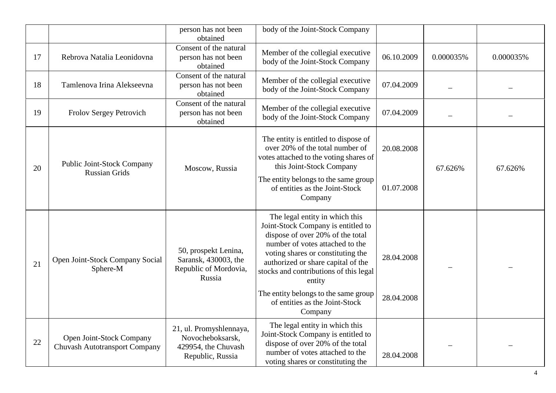|    |                                                                  | person has not been<br>obtained                                                        | body of the Joint-Stock Company                                                                                                                                                                                                                                            |            |           |           |
|----|------------------------------------------------------------------|----------------------------------------------------------------------------------------|----------------------------------------------------------------------------------------------------------------------------------------------------------------------------------------------------------------------------------------------------------------------------|------------|-----------|-----------|
| 17 | Rebrova Natalia Leonidovna                                       | Consent of the natural<br>person has not been<br>obtained                              | Member of the collegial executive<br>body of the Joint-Stock Company                                                                                                                                                                                                       | 06.10.2009 | 0.000035% | 0.000035% |
| 18 | Tamlenova Irina Alekseevna                                       | Consent of the natural<br>person has not been<br>obtained                              | Member of the collegial executive<br>body of the Joint-Stock Company                                                                                                                                                                                                       | 07.04.2009 |           |           |
| 19 | Frolov Sergey Petrovich                                          | Consent of the natural<br>person has not been<br>obtained                              | Member of the collegial executive<br>body of the Joint-Stock Company                                                                                                                                                                                                       | 07.04.2009 |           |           |
| 20 | <b>Public Joint-Stock Company</b>                                | Moscow, Russia                                                                         | The entity is entitled to dispose of<br>over 20% of the total number of<br>votes attached to the voting shares of<br>this Joint-Stock Company                                                                                                                              | 20.08.2008 | 67.626%   | 67.626%   |
|    | <b>Russian Grids</b>                                             |                                                                                        | The entity belongs to the same group<br>of entities as the Joint-Stock<br>Company                                                                                                                                                                                          | 01.07.2008 |           |           |
| 21 | Open Joint-Stock Company Social<br>Sphere-M                      | 50, prospekt Lenina,<br>Saransk, 430003, the<br>Republic of Mordovia,<br>Russia        | The legal entity in which this<br>Joint-Stock Company is entitled to<br>dispose of over 20% of the total<br>number of votes attached to the<br>voting shares or constituting the<br>authorized or share capital of the<br>stocks and contributions of this legal<br>entity | 28.04.2008 |           |           |
|    |                                                                  |                                                                                        | The entity belongs to the same group<br>of entities as the Joint-Stock<br>Company                                                                                                                                                                                          | 28.04.2008 |           |           |
| 22 | Open Joint-Stock Company<br><b>Chuvash Autotransport Company</b> | 21, ul. Promyshlennaya,<br>Novocheboksarsk,<br>429954, the Chuvash<br>Republic, Russia | The legal entity in which this<br>Joint-Stock Company is entitled to<br>dispose of over 20% of the total<br>number of votes attached to the<br>voting shares or constituting the                                                                                           | 28.04.2008 |           |           |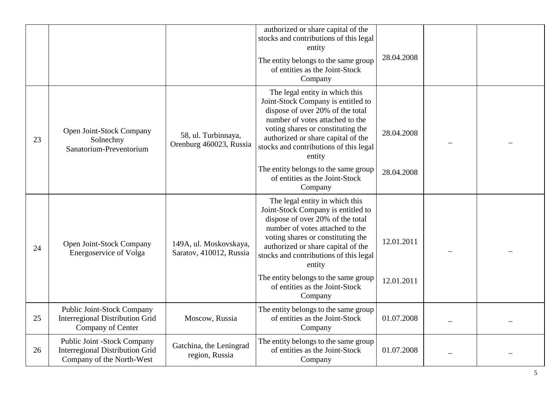|    |                                                                                                    |                                                   | authorized or share capital of the<br>stocks and contributions of this legal<br>entity<br>The entity belongs to the same group<br>of entities as the Joint-Stock<br>Company                                                                                                | 28.04.2008 |  |
|----|----------------------------------------------------------------------------------------------------|---------------------------------------------------|----------------------------------------------------------------------------------------------------------------------------------------------------------------------------------------------------------------------------------------------------------------------------|------------|--|
| 23 | Open Joint-Stock Company<br>Solnechny<br>Sanatorium-Preventorium                                   | 58, ul. Turbinnaya,<br>Orenburg 460023, Russia    | The legal entity in which this<br>Joint-Stock Company is entitled to<br>dispose of over 20% of the total<br>number of votes attached to the<br>voting shares or constituting the<br>authorized or share capital of the<br>stocks and contributions of this legal<br>entity | 28.04.2008 |  |
|    |                                                                                                    |                                                   | The entity belongs to the same group<br>of entities as the Joint-Stock<br>Company                                                                                                                                                                                          | 28.04.2008 |  |
| 24 | Open Joint-Stock Company<br>Energoservice of Volga                                                 | 149A, ul. Moskovskaya,<br>Saratov, 410012, Russia | The legal entity in which this<br>Joint-Stock Company is entitled to<br>dispose of over 20% of the total<br>number of votes attached to the<br>voting shares or constituting the<br>authorized or share capital of the<br>stocks and contributions of this legal<br>entity | 12.01.2011 |  |
|    |                                                                                                    |                                                   | The entity belongs to the same group<br>of entities as the Joint-Stock<br>Company                                                                                                                                                                                          | 12.01.2011 |  |
| 25 | Public Joint-Stock Company<br><b>Interregional Distribution Grid</b><br>Company of Center          | Moscow, Russia                                    | The entity belongs to the same group<br>of entities as the Joint-Stock<br>Company                                                                                                                                                                                          | 01.07.2008 |  |
| 26 | Public Joint -Stock Company<br><b>Interregional Distribution Grid</b><br>Company of the North-West | Gatchina, the Leningrad<br>region, Russia         | The entity belongs to the same group<br>of entities as the Joint-Stock<br>Company                                                                                                                                                                                          | 01.07.2008 |  |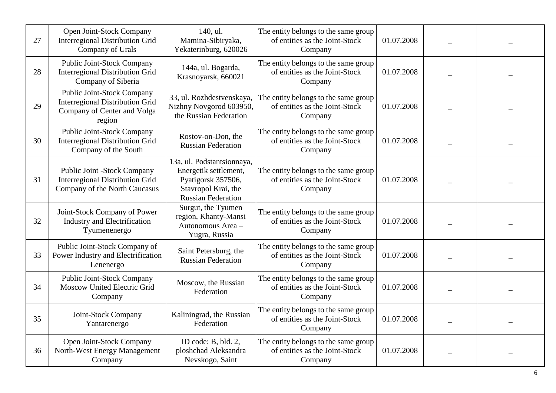| 27 | Open Joint-Stock Company<br><b>Interregional Distribution Grid</b><br>Company of Urals                        | 140, ul.<br>Mamina-Sibiryaka,<br>Yekaterinburg, 620026                                                                        | The entity belongs to the same group<br>of entities as the Joint-Stock<br>Company | 01.07.2008 |  |
|----|---------------------------------------------------------------------------------------------------------------|-------------------------------------------------------------------------------------------------------------------------------|-----------------------------------------------------------------------------------|------------|--|
| 28 | <b>Public Joint-Stock Company</b><br><b>Interregional Distribution Grid</b><br>Company of Siberia             | 144a, ul. Bogarda,<br>Krasnoyarsk, 660021                                                                                     | The entity belongs to the same group<br>of entities as the Joint-Stock<br>Company | 01.07.2008 |  |
| 29 | Public Joint-Stock Company<br><b>Interregional Distribution Grid</b><br>Company of Center and Volga<br>region | 33, ul. Rozhdestvenskaya,<br>Nizhny Novgorod 603950,<br>the Russian Federation                                                | The entity belongs to the same group<br>of entities as the Joint-Stock<br>Company | 01.07.2008 |  |
| 30 | <b>Public Joint-Stock Company</b><br><b>Interregional Distribution Grid</b><br>Company of the South           | Rostov-on-Don, the<br><b>Russian Federation</b>                                                                               | The entity belongs to the same group<br>of entities as the Joint-Stock<br>Company | 01.07.2008 |  |
| 31 | Public Joint -Stock Company<br><b>Interregional Distribution Grid</b><br>Company of the North Caucasus        | 13a, ul. Podstantsionnaya,<br>Energetik settlement,<br>Pyatigorsk 357506,<br>Stavropol Krai, the<br><b>Russian Federation</b> | The entity belongs to the same group<br>of entities as the Joint-Stock<br>Company | 01.07.2008 |  |
| 32 | Joint-Stock Company of Power<br><b>Industry and Electrification</b><br>Tyumenenergo                           | Surgut, the Tyumen<br>region, Khanty-Mansi<br>Autonomous Area -<br>Yugra, Russia                                              | The entity belongs to the same group<br>of entities as the Joint-Stock<br>Company | 01.07.2008 |  |
| 33 | Public Joint-Stock Company of<br>Power Industry and Electrification<br>Lenenergo                              | Saint Petersburg, the<br><b>Russian Federation</b>                                                                            | The entity belongs to the same group<br>of entities as the Joint-Stock<br>Company | 01.07.2008 |  |
| 34 | <b>Public Joint-Stock Company</b><br>Moscow United Electric Grid<br>Company                                   | Moscow, the Russian<br>Federation                                                                                             | The entity belongs to the same group<br>of entities as the Joint-Stock<br>Company | 01.07.2008 |  |
| 35 | Joint-Stock Company<br>Yantarenergo                                                                           | Kaliningrad, the Russian<br>Federation                                                                                        | The entity belongs to the same group<br>of entities as the Joint-Stock<br>Company | 01.07.2008 |  |
| 36 | Open Joint-Stock Company<br>North-West Energy Management<br>Company                                           | ID code: B, bld. 2,<br>ploshchad Aleksandra<br>Nevskogo, Saint                                                                | The entity belongs to the same group<br>of entities as the Joint-Stock<br>Company | 01.07.2008 |  |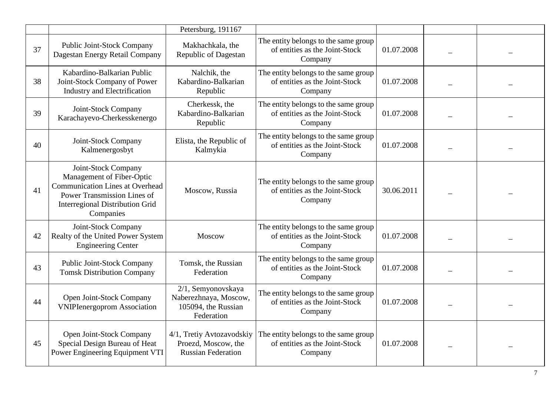|    |                                                                                                                                                                                         | Petersburg, 191167                                                               |                                                                                   |            |  |
|----|-----------------------------------------------------------------------------------------------------------------------------------------------------------------------------------------|----------------------------------------------------------------------------------|-----------------------------------------------------------------------------------|------------|--|
| 37 | Public Joint-Stock Company<br>Dagestan Energy Retail Company                                                                                                                            | Makhachkala, the<br>Republic of Dagestan                                         | The entity belongs to the same group<br>of entities as the Joint-Stock<br>Company | 01.07.2008 |  |
| 38 | Kabardino-Balkarian Public<br>Joint-Stock Company of Power<br><b>Industry and Electrification</b>                                                                                       | Nalchik, the<br>Kabardino-Balkarian<br>Republic                                  | The entity belongs to the same group<br>of entities as the Joint-Stock<br>Company | 01.07.2008 |  |
| 39 | Joint-Stock Company<br>Karachayevo-Cherkesskenergo                                                                                                                                      | Cherkessk, the<br>Kabardino-Balkarian<br>Republic                                | The entity belongs to the same group<br>of entities as the Joint-Stock<br>Company | 01.07.2008 |  |
| 40 | Joint-Stock Company<br>Kalmenergosbyt                                                                                                                                                   | Elista, the Republic of<br>Kalmykia                                              | The entity belongs to the same group<br>of entities as the Joint-Stock<br>Company | 01.07.2008 |  |
| 41 | Joint-Stock Company<br>Management of Fiber-Optic<br><b>Communication Lines at Overhead</b><br><b>Power Transmission Lines of</b><br><b>Interregional Distribution Grid</b><br>Companies | Moscow, Russia                                                                   | The entity belongs to the same group<br>of entities as the Joint-Stock<br>Company | 30.06.2011 |  |
| 42 | Joint-Stock Company<br>Realty of the United Power System<br><b>Engineering Center</b>                                                                                                   | Moscow                                                                           | The entity belongs to the same group<br>of entities as the Joint-Stock<br>Company | 01.07.2008 |  |
| 43 | <b>Public Joint-Stock Company</b><br><b>Tomsk Distribution Company</b>                                                                                                                  | Tomsk, the Russian<br>Federation                                                 | The entity belongs to the same group<br>of entities as the Joint-Stock<br>Company | 01.07.2008 |  |
| 44 | Open Joint-Stock Company<br><b>VNIPIenergoprom Association</b>                                                                                                                          | 2/1, Semyonovskaya<br>Naberezhnaya, Moscow,<br>105094, the Russian<br>Federation | The entity belongs to the same group<br>of entities as the Joint-Stock<br>Company | 01.07.2008 |  |
| 45 | Open Joint-Stock Company<br>Special Design Bureau of Heat<br>Power Engineering Equipment VTI                                                                                            | 4/1, Tretiy Avtozavodskiy<br>Proezd, Moscow, the<br><b>Russian Federation</b>    | The entity belongs to the same group<br>of entities as the Joint-Stock<br>Company | 01.07.2008 |  |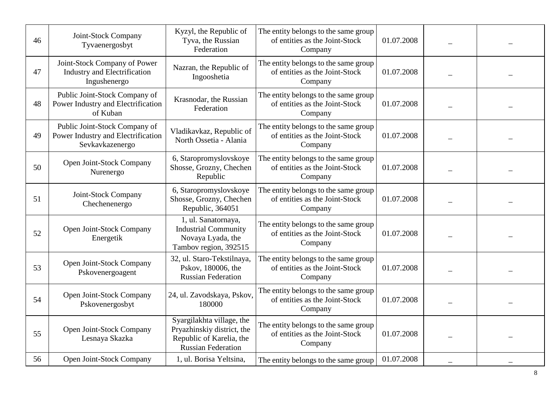| 46 | Joint-Stock Company<br>Tyvaenergosbyt                                                  | Kyzyl, the Republic of<br>Tyva, the Russian<br>Federation                                                        | The entity belongs to the same group<br>of entities as the Joint-Stock<br>Company | 01.07.2008 |  |
|----|----------------------------------------------------------------------------------------|------------------------------------------------------------------------------------------------------------------|-----------------------------------------------------------------------------------|------------|--|
| 47 | Joint-Stock Company of Power<br><b>Industry and Electrification</b><br>Ingushenergo    | Nazran, the Republic of<br>Ingooshetia                                                                           | The entity belongs to the same group<br>of entities as the Joint-Stock<br>Company | 01.07.2008 |  |
| 48 | Public Joint-Stock Company of<br>Power Industry and Electrification<br>of Kuban        | Krasnodar, the Russian<br>Federation                                                                             | The entity belongs to the same group<br>of entities as the Joint-Stock<br>Company | 01.07.2008 |  |
| 49 | Public Joint-Stock Company of<br>Power Industry and Electrification<br>Sevkavkazenergo | Vladikavkaz, Republic of<br>North Ossetia - Alania                                                               | The entity belongs to the same group<br>of entities as the Joint-Stock<br>Company | 01.07.2008 |  |
| 50 | Open Joint-Stock Company<br>Nurenergo                                                  | 6, Staropromyslovskoye<br>Shosse, Grozny, Chechen<br>Republic                                                    | The entity belongs to the same group<br>of entities as the Joint-Stock<br>Company | 01.07.2008 |  |
| 51 | Joint-Stock Company<br>Chechenenergo                                                   | 6, Staropromyslovskoye<br>Shosse, Grozny, Chechen<br>Republic, 364051                                            | The entity belongs to the same group<br>of entities as the Joint-Stock<br>Company | 01.07.2008 |  |
| 52 | Open Joint-Stock Company<br>Energetik                                                  | 1, ul. Sanatornaya,<br><b>Industrial Community</b><br>Novaya Lyada, the<br>Tambov region, 392515                 | The entity belongs to the same group<br>of entities as the Joint-Stock<br>Company | 01.07.2008 |  |
| 53 | Open Joint-Stock Company<br>Pskovenergoagent                                           | 32, ul. Staro-Tekstilnaya,<br>Pskov, 180006, the<br><b>Russian Federation</b>                                    | The entity belongs to the same group<br>of entities as the Joint-Stock<br>Company | 01.07.2008 |  |
| 54 | Open Joint-Stock Company<br>Pskovenergosbyt                                            | 24, ul. Zavodskaya, Pskov,<br>180000                                                                             | The entity belongs to the same group<br>of entities as the Joint-Stock<br>Company | 01.07.2008 |  |
| 55 | Open Joint-Stock Company<br>Lesnaya Skazka                                             | Syargilakhta village, the<br>Pryazhinskiy district, the<br>Republic of Karelia, the<br><b>Russian Federation</b> | The entity belongs to the same group<br>of entities as the Joint-Stock<br>Company | 01.07.2008 |  |
| 56 | Open Joint-Stock Company                                                               | 1, ul. Borisa Yeltsina,                                                                                          | The entity belongs to the same group                                              | 01.07.2008 |  |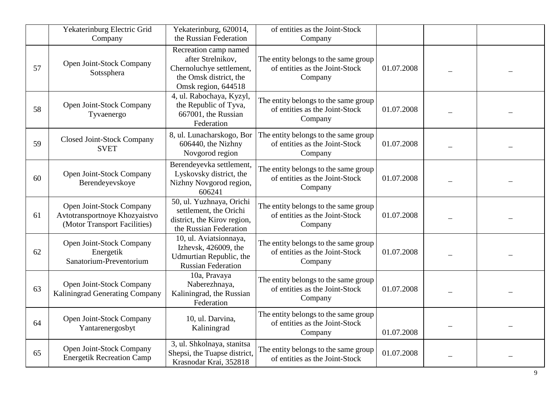|    | Yekaterinburg Electric Grid<br>Company                                                    | Yekaterinburg, 620014,<br>the Russian Federation                                                                        | of entities as the Joint-Stock<br>Company                                         |            |  |
|----|-------------------------------------------------------------------------------------------|-------------------------------------------------------------------------------------------------------------------------|-----------------------------------------------------------------------------------|------------|--|
| 57 | Open Joint-Stock Company<br>Sotssphera                                                    | Recreation camp named<br>after Strelnikov,<br>Chernoluchye settlement,<br>the Omsk district, the<br>Omsk region, 644518 | The entity belongs to the same group<br>of entities as the Joint-Stock<br>Company | 01.07.2008 |  |
| 58 | Open Joint-Stock Company<br>Tyvaenergo                                                    | 4, ul. Rabochaya, Kyzyl,<br>the Republic of Tyva,<br>667001, the Russian<br>Federation                                  | The entity belongs to the same group<br>of entities as the Joint-Stock<br>Company | 01.07.2008 |  |
| 59 | <b>Closed Joint-Stock Company</b><br><b>SVET</b>                                          | 8, ul. Lunacharskogo, Bor<br>606440, the Nizhny<br>Novgorod region                                                      | The entity belongs to the same group<br>of entities as the Joint-Stock<br>Company | 01.07.2008 |  |
| 60 | Open Joint-Stock Company<br>Berendeyevskoye                                               | Berendeyevka settlement,<br>Lyskovsky district, the<br>Nizhny Novgorod region,<br>606241                                | The entity belongs to the same group<br>of entities as the Joint-Stock<br>Company | 01.07.2008 |  |
| 61 | Open Joint-Stock Company<br>Avtotransportnoye Khozyaistvo<br>(Motor Transport Facilities) | 50, ul. Yuzhnaya, Orichi<br>settlement, the Orichi<br>district, the Kirov region,<br>the Russian Federation             | The entity belongs to the same group<br>of entities as the Joint-Stock<br>Company | 01.07.2008 |  |
| 62 | Open Joint-Stock Company<br>Energetik<br>Sanatorium-Preventorium                          | 10, ul. Aviatsionnaya,<br>Izhevsk, 426009, the<br>Udmurtian Republic, the<br><b>Russian Federation</b>                  | The entity belongs to the same group<br>of entities as the Joint-Stock<br>Company | 01.07.2008 |  |
| 63 | Open Joint-Stock Company<br>Kaliningrad Generating Company                                | 10a, Pravaya<br>Naberezhnaya,<br>Kaliningrad, the Russian<br>Federation                                                 | The entity belongs to the same group<br>of entities as the Joint-Stock<br>Company | 01.07.2008 |  |
| 64 | Open Joint-Stock Company<br>Yantarenergosbyt                                              | 10, ul. Darvina,<br>Kaliningrad                                                                                         | The entity belongs to the same group<br>of entities as the Joint-Stock<br>Company | 01.07.2008 |  |
| 65 | Open Joint-Stock Company<br><b>Energetik Recreation Camp</b>                              | 3, ul. Shkolnaya, stanitsa<br>Shepsi, the Tuapse district,<br>Krasnodar Krai, 352818                                    | The entity belongs to the same group<br>of entities as the Joint-Stock            | 01.07.2008 |  |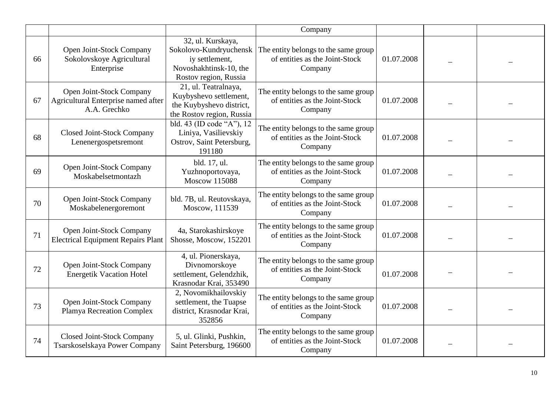|    |                                                                                 |                                                                                                                  | Company                                                                           |            |  |
|----|---------------------------------------------------------------------------------|------------------------------------------------------------------------------------------------------------------|-----------------------------------------------------------------------------------|------------|--|
| 66 | Open Joint-Stock Company<br>Sokolovskoye Agricultural<br>Enterprise             | 32, ul. Kurskaya,<br>Sokolovo-Kundryuchensk<br>iy settlement,<br>Novoshakhtinsk-10, the<br>Rostov region, Russia | The entity belongs to the same group<br>of entities as the Joint-Stock<br>Company | 01.07.2008 |  |
| 67 | Open Joint-Stock Company<br>Agricultural Enterprise named after<br>A.A. Grechko | 21, ul. Teatralnaya,<br>Kuybyshevo settlement,<br>the Kuybyshevo district,<br>the Rostov region, Russia          | The entity belongs to the same group<br>of entities as the Joint-Stock<br>Company | 01.07.2008 |  |
| 68 | <b>Closed Joint-Stock Company</b><br>Lenenergospetsremont                       | bld. 43 (ID code "A"), 12<br>Liniya, Vasilievskiy<br>Ostrov, Saint Petersburg,<br>191180                         | The entity belongs to the same group<br>of entities as the Joint-Stock<br>Company | 01.07.2008 |  |
| 69 | Open Joint-Stock Company<br>Moskabelsetmontazh                                  | bld. 17, ul.<br>Yuzhnoportovaya,<br><b>Moscow 115088</b>                                                         | The entity belongs to the same group<br>of entities as the Joint-Stock<br>Company | 01.07.2008 |  |
| 70 | Open Joint-Stock Company<br>Moskabelenergoremont                                | bld. 7B, ul. Reutovskaya,<br>Moscow, 111539                                                                      | The entity belongs to the same group<br>of entities as the Joint-Stock<br>Company | 01.07.2008 |  |
| 71 | Open Joint-Stock Company<br><b>Electrical Equipment Repairs Plant</b>           | 4a, Starokashirskoye<br>Shosse, Moscow, 152201                                                                   | The entity belongs to the same group<br>of entities as the Joint-Stock<br>Company | 01.07.2008 |  |
| 72 | Open Joint-Stock Company<br><b>Energetik Vacation Hotel</b>                     | 4, ul. Pionerskaya,<br>Divnomorskoye<br>settlement, Gelendzhik,<br>Krasnodar Krai, 353490                        | The entity belongs to the same group<br>of entities as the Joint-Stock<br>Company | 01.07.2008 |  |
| 73 | Open Joint-Stock Company<br><b>Plamya Recreation Complex</b>                    | 2, Novomikhailovskiy<br>settlement, the Tuapse<br>district, Krasnodar Krai,<br>352856                            | The entity belongs to the same group<br>of entities as the Joint-Stock<br>Company | 01.07.2008 |  |
| 74 | <b>Closed Joint-Stock Company</b><br>Tsarskoselskaya Power Company              | 5, ul. Glinki, Pushkin,<br>Saint Petersburg, 196600                                                              | The entity belongs to the same group<br>of entities as the Joint-Stock<br>Company | 01.07.2008 |  |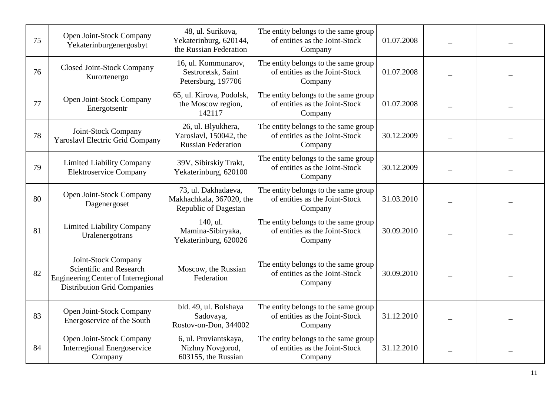| 75 | Open Joint-Stock Company<br>Yekaterinburgenergosbyt                                                                                | 48, ul. Surikova,<br>Yekaterinburg, 620144,<br>the Russian Federation     | The entity belongs to the same group<br>of entities as the Joint-Stock<br>Company | 01.07.2008 |  |
|----|------------------------------------------------------------------------------------------------------------------------------------|---------------------------------------------------------------------------|-----------------------------------------------------------------------------------|------------|--|
| 76 | <b>Closed Joint-Stock Company</b><br>Kurortenergo                                                                                  | 16, ul. Kommunarov,<br>Sestroretsk, Saint<br>Petersburg, 197706           | The entity belongs to the same group<br>of entities as the Joint-Stock<br>Company | 01.07.2008 |  |
| 77 | Open Joint-Stock Company<br>Energotsentr                                                                                           | 65, ul. Kirova, Podolsk,<br>the Moscow region,<br>142117                  | The entity belongs to the same group<br>of entities as the Joint-Stock<br>Company | 01.07.2008 |  |
| 78 | Joint-Stock Company<br><b>Yaroslavl Electric Grid Company</b>                                                                      | 26, ul. Blyukhera,<br>Yaroslavl, 150042, the<br><b>Russian Federation</b> | The entity belongs to the same group<br>of entities as the Joint-Stock<br>Company | 30.12.2009 |  |
| 79 | <b>Limited Liability Company</b><br><b>Elektroservice Company</b>                                                                  | 39V, Sibirskiy Trakt,<br>Yekaterinburg, 620100                            | The entity belongs to the same group<br>of entities as the Joint-Stock<br>Company | 30.12.2009 |  |
| 80 | Open Joint-Stock Company<br>Dagenergoset                                                                                           | 73, ul. Dakhadaeva,<br>Makhachkala, 367020, the<br>Republic of Dagestan   | The entity belongs to the same group<br>of entities as the Joint-Stock<br>Company | 31.03.2010 |  |
| 81 | <b>Limited Liability Company</b><br>Uralenergotrans                                                                                | 140, ul.<br>Mamina-Sibiryaka,<br>Yekaterinburg, 620026                    | The entity belongs to the same group<br>of entities as the Joint-Stock<br>Company | 30.09.2010 |  |
| 82 | Joint-Stock Company<br>Scientific and Research<br><b>Engineering Center of Interregional</b><br><b>Distribution Grid Companies</b> | Moscow, the Russian<br>Federation                                         | The entity belongs to the same group<br>of entities as the Joint-Stock<br>Company | 30.09.2010 |  |
| 83 | Open Joint-Stock Company<br>Energoservice of the South                                                                             | bld. 49, ul. Bolshaya<br>Sadovaya,<br>Rostov-on-Don, 344002               | The entity belongs to the same group<br>of entities as the Joint-Stock<br>Company | 31.12.2010 |  |
| 84 | Open Joint-Stock Company<br><b>Interregional Energoservice</b><br>Company                                                          | 6, ul. Proviantskaya,<br>Nizhny Novgorod,<br>603155, the Russian          | The entity belongs to the same group<br>of entities as the Joint-Stock<br>Company | 31.12.2010 |  |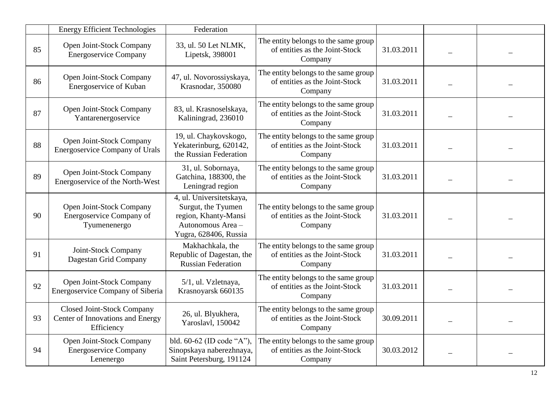|    | <b>Energy Efficient Technologies</b>                                                | Federation                                                                                                           |                                                                                   |            |  |
|----|-------------------------------------------------------------------------------------|----------------------------------------------------------------------------------------------------------------------|-----------------------------------------------------------------------------------|------------|--|
| 85 | Open Joint-Stock Company<br><b>Energoservice Company</b>                            | 33, ul. 50 Let NLMK,<br>Lipetsk, 398001                                                                              | The entity belongs to the same group<br>of entities as the Joint-Stock<br>Company | 31.03.2011 |  |
| 86 | Open Joint-Stock Company<br>Energoservice of Kuban                                  | 47, ul. Novorossiyskaya,<br>Krasnodar, 350080                                                                        | The entity belongs to the same group<br>of entities as the Joint-Stock<br>Company | 31.03.2011 |  |
| 87 | Open Joint-Stock Company<br>Yantarenergoservice                                     | 83, ul. Krasnoselskaya,<br>Kaliningrad, 236010                                                                       | The entity belongs to the same group<br>of entities as the Joint-Stock<br>Company | 31.03.2011 |  |
| 88 | Open Joint-Stock Company<br><b>Energoservice Company of Urals</b>                   | 19, ul. Chaykovskogo,<br>Yekaterinburg, 620142,<br>the Russian Federation                                            | The entity belongs to the same group<br>of entities as the Joint-Stock<br>Company | 31.03.2011 |  |
| 89 | Open Joint-Stock Company<br>Energoservice of the North-West                         | 31, ul. Sobornaya,<br>Gatchina, 188300, the<br>Leningrad region                                                      | The entity belongs to the same group<br>of entities as the Joint-Stock<br>Company | 31.03.2011 |  |
| 90 | Open Joint-Stock Company<br>Energoservice Company of<br>Tyumenenergo                | 4, ul. Universitetskaya,<br>Surgut, the Tyumen<br>region, Khanty-Mansi<br>Autonomous Area -<br>Yugra, 628406, Russia | The entity belongs to the same group<br>of entities as the Joint-Stock<br>Company | 31.03.2011 |  |
| 91 | Joint-Stock Company<br>Dagestan Grid Company                                        | Makhachkala, the<br>Republic of Dagestan, the<br><b>Russian Federation</b>                                           | The entity belongs to the same group<br>of entities as the Joint-Stock<br>Company | 31.03.2011 |  |
| 92 | Open Joint-Stock Company<br>Energoservice Company of Siberia                        | 5/1, ul. Vzletnaya,<br>Krasnoyarsk 660135                                                                            | The entity belongs to the same group<br>of entities as the Joint-Stock<br>Company | 31.03.2011 |  |
| 93 | <b>Closed Joint-Stock Company</b><br>Center of Innovations and Energy<br>Efficiency | 26, ul. Blyukhera,<br>Yaroslavl, 150042                                                                              | The entity belongs to the same group<br>of entities as the Joint-Stock<br>Company | 30.09.2011 |  |
| 94 | Open Joint-Stock Company<br><b>Energoservice Company</b><br>Lenenergo               | bld. 60-62 (ID code "A"),<br>Sinopskaya naberezhnaya,<br>Saint Petersburg, 191124                                    | The entity belongs to the same group<br>of entities as the Joint-Stock<br>Company | 30.03.2012 |  |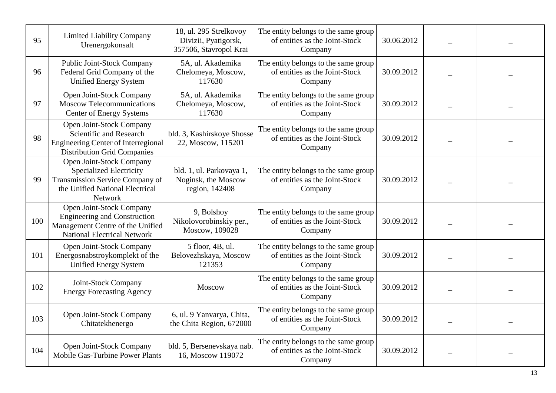| 95  | <b>Limited Liability Company</b><br>Urenergokonsalt                                                                                                | 18, ul. 295 Strelkovoy<br>Divizii, Pyatigorsk,<br>357506, Stavropol Krai | The entity belongs to the same group<br>of entities as the Joint-Stock<br>Company | 30.06.2012 |  |
|-----|----------------------------------------------------------------------------------------------------------------------------------------------------|--------------------------------------------------------------------------|-----------------------------------------------------------------------------------|------------|--|
| 96  | <b>Public Joint-Stock Company</b><br>Federal Grid Company of the<br><b>Unified Energy System</b>                                                   | 5A, ul. Akademika<br>Chelomeya, Moscow,<br>117630                        | The entity belongs to the same group<br>of entities as the Joint-Stock<br>Company | 30.09.2012 |  |
| 97  | Open Joint-Stock Company<br><b>Moscow Telecommunications</b><br><b>Center of Energy Systems</b>                                                    | 5A, ul. Akademika<br>Chelomeya, Moscow,<br>117630                        | The entity belongs to the same group<br>of entities as the Joint-Stock<br>Company | 30.09.2012 |  |
| 98  | Open Joint-Stock Company<br>Scientific and Research<br><b>Engineering Center of Interregional</b><br><b>Distribution Grid Companies</b>            | bld. 3, Kashirskoye Shosse<br>22, Moscow, 115201                         | The entity belongs to the same group<br>of entities as the Joint-Stock<br>Company | 30.09.2012 |  |
| 99  | Open Joint-Stock Company<br><b>Specialized Electricity</b><br>Transmission Service Company of<br>the Unified National Electrical<br><b>Network</b> | bld. 1, ul. Parkovaya 1,<br>Noginsk, the Moscow<br>region, 142408        | The entity belongs to the same group<br>of entities as the Joint-Stock<br>Company | 30.09.2012 |  |
| 100 | Open Joint-Stock Company<br><b>Engineering and Construction</b><br>Management Centre of the Unified<br><b>National Electrical Network</b>          | 9, Bolshoy<br>Nikolovorobinskiy per.,<br>Moscow, 109028                  | The entity belongs to the same group<br>of entities as the Joint-Stock<br>Company | 30.09.2012 |  |
| 101 | Open Joint-Stock Company<br>Energosnabstroykomplekt of the<br><b>Unified Energy System</b>                                                         | 5 floor, 4B, ul.<br>Belovezhskaya, Moscow<br>121353                      | The entity belongs to the same group<br>of entities as the Joint-Stock<br>Company | 30.09.2012 |  |
| 102 | Joint-Stock Company<br><b>Energy Forecasting Agency</b>                                                                                            | Moscow                                                                   | The entity belongs to the same group<br>of entities as the Joint-Stock<br>Company | 30.09.2012 |  |
| 103 | Open Joint-Stock Company<br>Chitatekhenergo                                                                                                        | 6, ul. 9 Yanvarya, Chita,<br>the Chita Region, 672000                    | The entity belongs to the same group<br>of entities as the Joint-Stock<br>Company | 30.09.2012 |  |
| 104 | Open Joint-Stock Company<br><b>Mobile Gas-Turbine Power Plants</b>                                                                                 | bld. 5, Bersenevskaya nab.<br>16, Moscow 119072                          | The entity belongs to the same group<br>of entities as the Joint-Stock<br>Company | 30.09.2012 |  |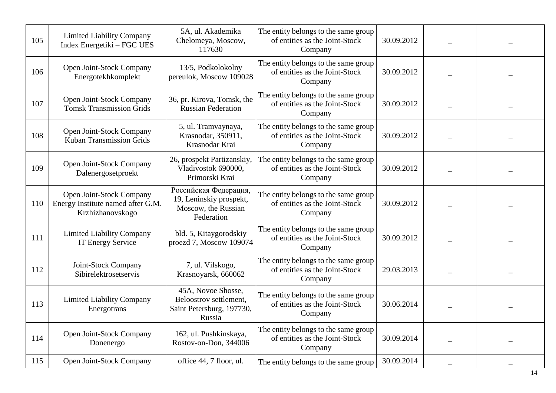| 105 | <b>Limited Liability Company</b><br>Index Energetiki – FGC UES                    | 5A, ul. Akademika<br>Chelomeya, Moscow,<br>117630                                     | The entity belongs to the same group<br>of entities as the Joint-Stock<br>Company | 30.09.2012 |  |
|-----|-----------------------------------------------------------------------------------|---------------------------------------------------------------------------------------|-----------------------------------------------------------------------------------|------------|--|
| 106 | Open Joint-Stock Company<br>Energotekhkomplekt                                    | 13/5, Podkolokolny<br>pereulok, Moscow 109028                                         | The entity belongs to the same group<br>of entities as the Joint-Stock<br>Company | 30.09.2012 |  |
| 107 | Open Joint-Stock Company<br><b>Tomsk Transmission Grids</b>                       | 36, pr. Kirova, Tomsk, the<br><b>Russian Federation</b>                               | The entity belongs to the same group<br>of entities as the Joint-Stock<br>Company | 30.09.2012 |  |
| 108 | Open Joint-Stock Company<br>Kuban Transmission Grids                              | 5, ul. Tramvaynaya,<br>Krasnodar, 350911,<br>Krasnodar Krai                           | The entity belongs to the same group<br>of entities as the Joint-Stock<br>Company | 30.09.2012 |  |
| 109 | Open Joint-Stock Company<br>Dalenergosetproekt                                    | 26, prospekt Partizanskiy,<br>Vladivostok 690000,<br>Primorski Krai                   | The entity belongs to the same group<br>of entities as the Joint-Stock<br>Company | 30.09.2012 |  |
| 110 | Open Joint-Stock Company<br>Energy Institute named after G.M.<br>Krzhizhanovskogo | Российская Федерация,<br>19, Leninskiy prospekt,<br>Moscow, the Russian<br>Federation | The entity belongs to the same group<br>of entities as the Joint-Stock<br>Company | 30.09.2012 |  |
| 111 | <b>Limited Liability Company</b><br><b>IT Energy Service</b>                      | bld. 5, Kitaygorodskiy<br>proezd 7, Moscow 109074                                     | The entity belongs to the same group<br>of entities as the Joint-Stock<br>Company | 30.09.2012 |  |
| 112 | Joint-Stock Company<br>Sibirelektrosetservis                                      | 7, ul. Vilskogo,<br>Krasnoyarsk, 660062                                               | The entity belongs to the same group<br>of entities as the Joint-Stock<br>Company | 29.03.2013 |  |
| 113 | <b>Limited Liability Company</b><br>Energotrans                                   | 45A, Novoe Shosse,<br>Beloostrov settlement,<br>Saint Petersburg, 197730,<br>Russia   | The entity belongs to the same group<br>of entities as the Joint-Stock<br>Company | 30.06.2014 |  |
| 114 | Open Joint-Stock Company<br>Donenergo                                             | 162, ul. Pushkinskaya,<br>Rostov-on-Don, 344006                                       | The entity belongs to the same group<br>of entities as the Joint-Stock<br>Company | 30.09.2014 |  |
| 115 | Open Joint-Stock Company                                                          | office 44, 7 floor, ul.                                                               | The entity belongs to the same group                                              | 30.09.2014 |  |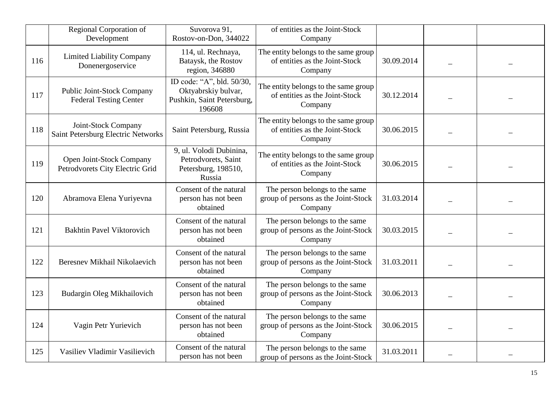|     | <b>Regional Corporation of</b><br>Development               | Suvorova 91,<br>Rostov-on-Don, 344022                                                    | of entities as the Joint-Stock<br>Company                                         |            |  |
|-----|-------------------------------------------------------------|------------------------------------------------------------------------------------------|-----------------------------------------------------------------------------------|------------|--|
| 116 | <b>Limited Liability Company</b><br>Donenergoservice        | 114, ul. Rechnaya,<br>Bataysk, the Rostov<br>region, 346880                              | The entity belongs to the same group<br>of entities as the Joint-Stock<br>Company | 30.09.2014 |  |
| 117 | Public Joint-Stock Company<br><b>Federal Testing Center</b> | ID code: "A", bld. 50/30,<br>Oktyabrskiy bulvar,<br>Pushkin, Saint Petersburg,<br>196608 | The entity belongs to the same group<br>of entities as the Joint-Stock<br>Company | 30.12.2014 |  |
| 118 | Joint-Stock Company<br>Saint Petersburg Electric Networks   | Saint Petersburg, Russia                                                                 | The entity belongs to the same group<br>of entities as the Joint-Stock<br>Company | 30.06.2015 |  |
| 119 | Open Joint-Stock Company<br>Petrodvorets City Electric Grid | 9, ul. Volodi Dubinina,<br>Petrodvorets, Saint<br>Petersburg, 198510,<br>Russia          | The entity belongs to the same group<br>of entities as the Joint-Stock<br>Company | 30.06.2015 |  |
| 120 | Abramova Elena Yuriyevna                                    | Consent of the natural<br>person has not been<br>obtained                                | The person belongs to the same<br>group of persons as the Joint-Stock<br>Company  | 31.03.2014 |  |
| 121 | <b>Bakhtin Pavel Viktorovich</b>                            | Consent of the natural<br>person has not been<br>obtained                                | The person belongs to the same<br>group of persons as the Joint-Stock<br>Company  | 30.03.2015 |  |
| 122 | Beresnev Mikhail Nikolaevich                                | Consent of the natural<br>person has not been<br>obtained                                | The person belongs to the same<br>group of persons as the Joint-Stock<br>Company  | 31.03.2011 |  |
| 123 | Budargin Oleg Mikhailovich                                  | Consent of the natural<br>person has not been<br>obtained                                | The person belongs to the same<br>group of persons as the Joint-Stock<br>Company  | 30.06.2013 |  |
| 124 | Vagin Petr Yurievich                                        | Consent of the natural<br>person has not been<br>obtained                                | The person belongs to the same<br>group of persons as the Joint-Stock<br>Company  | 30.06.2015 |  |
| 125 | Vasiliev Vladimir Vasilievich                               | Consent of the natural<br>person has not been                                            | The person belongs to the same<br>group of persons as the Joint-Stock             | 31.03.2011 |  |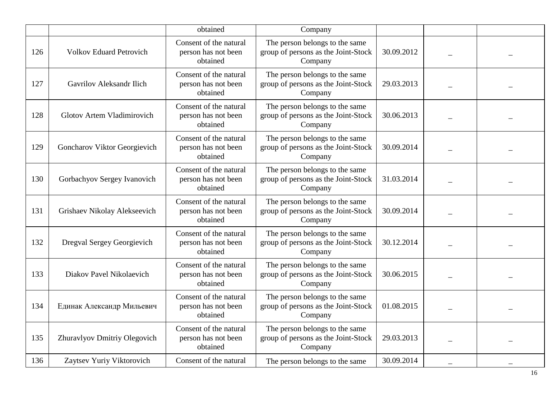|     |                                | obtained                                                  | Company                                                                          |            |  |
|-----|--------------------------------|-----------------------------------------------------------|----------------------------------------------------------------------------------|------------|--|
| 126 | <b>Volkov Eduard Petrovich</b> | Consent of the natural<br>person has not been<br>obtained | The person belongs to the same<br>group of persons as the Joint-Stock<br>Company | 30.09.2012 |  |
| 127 | Gavrilov Aleksandr Ilich       | Consent of the natural<br>person has not been<br>obtained | The person belongs to the same<br>group of persons as the Joint-Stock<br>Company | 29.03.2013 |  |
| 128 | Glotov Artem Vladimirovich     | Consent of the natural<br>person has not been<br>obtained | The person belongs to the same<br>group of persons as the Joint-Stock<br>Company | 30.06.2013 |  |
| 129 | Goncharov Viktor Georgievich   | Consent of the natural<br>person has not been<br>obtained | The person belongs to the same<br>group of persons as the Joint-Stock<br>Company | 30.09.2014 |  |
| 130 | Gorbachyov Sergey Ivanovich    | Consent of the natural<br>person has not been<br>obtained | The person belongs to the same<br>group of persons as the Joint-Stock<br>Company | 31.03.2014 |  |
| 131 | Grishaev Nikolay Alekseevich   | Consent of the natural<br>person has not been<br>obtained | The person belongs to the same<br>group of persons as the Joint-Stock<br>Company | 30.09.2014 |  |
| 132 | Dregval Sergey Georgievich     | Consent of the natural<br>person has not been<br>obtained | The person belongs to the same<br>group of persons as the Joint-Stock<br>Company | 30.12.2014 |  |
| 133 | Diakov Pavel Nikolaevich       | Consent of the natural<br>person has not been<br>obtained | The person belongs to the same<br>group of persons as the Joint-Stock<br>Company | 30.06.2015 |  |
| 134 | Единак Александр Мильевич      | Consent of the natural<br>person has not been<br>obtained | The person belongs to the same<br>group of persons as the Joint-Stock<br>Company | 01.08.2015 |  |
| 135 | Zhuravlyov Dmitriy Olegovich   | Consent of the natural<br>person has not been<br>obtained | The person belongs to the same<br>group of persons as the Joint-Stock<br>Company | 29.03.2013 |  |
| 136 | Zaytsev Yuriy Viktorovich      | Consent of the natural                                    | The person belongs to the same                                                   | 30.09.2014 |  |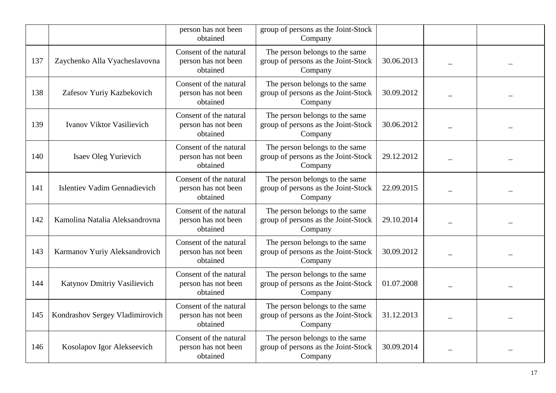|     |                                     | person has not been<br>obtained                           | group of persons as the Joint-Stock<br>Company                                   |            |  |
|-----|-------------------------------------|-----------------------------------------------------------|----------------------------------------------------------------------------------|------------|--|
| 137 | Zaychenko Alla Vyacheslavovna       | Consent of the natural<br>person has not been<br>obtained | The person belongs to the same<br>group of persons as the Joint-Stock<br>Company | 30.06.2013 |  |
| 138 | Zafesov Yuriy Kazbekovich           | Consent of the natural<br>person has not been<br>obtained | The person belongs to the same<br>group of persons as the Joint-Stock<br>Company | 30.09.2012 |  |
| 139 | Ivanov Viktor Vasilievich           | Consent of the natural<br>person has not been<br>obtained | The person belongs to the same<br>group of persons as the Joint-Stock<br>Company | 30.06.2012 |  |
| 140 | <b>Isaev Oleg Yurievich</b>         | Consent of the natural<br>person has not been<br>obtained | The person belongs to the same<br>group of persons as the Joint-Stock<br>Company | 29.12.2012 |  |
| 141 | <b>Islentiev Vadim Gennadievich</b> | Consent of the natural<br>person has not been<br>obtained | The person belongs to the same<br>group of persons as the Joint-Stock<br>Company | 22.09.2015 |  |
| 142 | Kamolina Natalia Aleksandrovna      | Consent of the natural<br>person has not been<br>obtained | The person belongs to the same<br>group of persons as the Joint-Stock<br>Company | 29.10.2014 |  |
| 143 | Karmanov Yuriy Aleksandrovich       | Consent of the natural<br>person has not been<br>obtained | The person belongs to the same<br>group of persons as the Joint-Stock<br>Company | 30.09.2012 |  |
| 144 | Katynov Dmitriy Vasilievich         | Consent of the natural<br>person has not been<br>obtained | The person belongs to the same<br>group of persons as the Joint-Stock<br>Company | 01.07.2008 |  |
| 145 | Kondrashov Sergey Vladimirovich     | Consent of the natural<br>person has not been<br>obtained | The person belongs to the same<br>group of persons as the Joint-Stock<br>Company | 31.12.2013 |  |
| 146 | Kosolapov Igor Alekseevich          | Consent of the natural<br>person has not been<br>obtained | The person belongs to the same<br>group of persons as the Joint-Stock<br>Company | 30.09.2014 |  |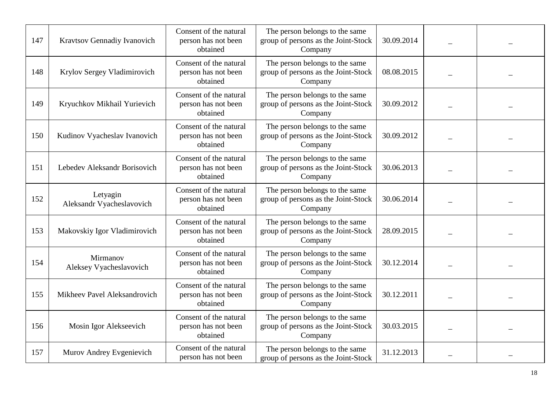| 147 | Kravtsov Gennadiy Ivanovich           | Consent of the natural<br>person has not been<br>obtained | The person belongs to the same<br>group of persons as the Joint-Stock<br>Company | 30.09.2014 |  |
|-----|---------------------------------------|-----------------------------------------------------------|----------------------------------------------------------------------------------|------------|--|
| 148 | Krylov Sergey Vladimirovich           | Consent of the natural<br>person has not been<br>obtained | The person belongs to the same<br>group of persons as the Joint-Stock<br>Company | 08.08.2015 |  |
| 149 | Kryuchkov Mikhail Yurievich           | Consent of the natural<br>person has not been<br>obtained | The person belongs to the same<br>group of persons as the Joint-Stock<br>Company | 30.09.2012 |  |
| 150 | Kudinov Vyacheslav Ivanovich          | Consent of the natural<br>person has not been<br>obtained | The person belongs to the same<br>group of persons as the Joint-Stock<br>Company | 30.09.2012 |  |
| 151 | Lebedev Aleksandr Borisovich          | Consent of the natural<br>person has not been<br>obtained | The person belongs to the same<br>group of persons as the Joint-Stock<br>Company | 30.06.2013 |  |
| 152 | Letyagin<br>Aleksandr Vyacheslavovich | Consent of the natural<br>person has not been<br>obtained | The person belongs to the same<br>group of persons as the Joint-Stock<br>Company | 30.06.2014 |  |
| 153 | Makovskiy Igor Vladimirovich          | Consent of the natural<br>person has not been<br>obtained | The person belongs to the same<br>group of persons as the Joint-Stock<br>Company | 28.09.2015 |  |
| 154 | Mirmanov<br>Aleksey Vyacheslavovich   | Consent of the natural<br>person has not been<br>obtained | The person belongs to the same<br>group of persons as the Joint-Stock<br>Company | 30.12.2014 |  |
| 155 | Mikheev Pavel Aleksandrovich          | Consent of the natural<br>person has not been<br>obtained | The person belongs to the same<br>group of persons as the Joint-Stock<br>Company | 30.12.2011 |  |
| 156 | Mosin Igor Alekseevich                | Consent of the natural<br>person has not been<br>obtained | The person belongs to the same<br>group of persons as the Joint-Stock<br>Company | 30.03.2015 |  |
| 157 | Murov Andrey Evgenievich              | Consent of the natural<br>person has not been             | The person belongs to the same<br>group of persons as the Joint-Stock            | 31.12.2013 |  |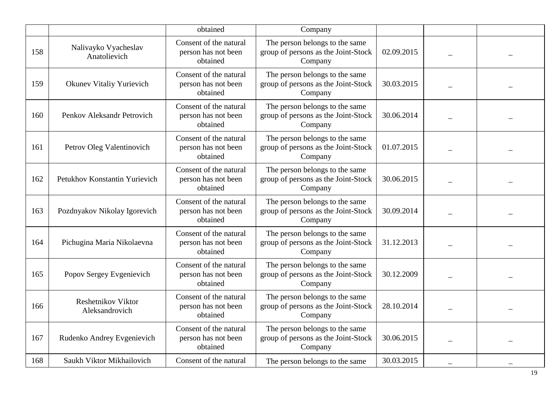|     |                                             | obtained                                                  | Company                                                                          |            |  |
|-----|---------------------------------------------|-----------------------------------------------------------|----------------------------------------------------------------------------------|------------|--|
| 158 | Nalivayko Vyacheslav<br>Anatolievich        | Consent of the natural<br>person has not been<br>obtained | The person belongs to the same<br>group of persons as the Joint-Stock<br>Company | 02.09.2015 |  |
| 159 | <b>Okunev Vitaliy Yurievich</b>             | Consent of the natural<br>person has not been<br>obtained | The person belongs to the same<br>group of persons as the Joint-Stock<br>Company | 30.03.2015 |  |
| 160 | Penkov Aleksandr Petrovich                  | Consent of the natural<br>person has not been<br>obtained | The person belongs to the same<br>group of persons as the Joint-Stock<br>Company | 30.06.2014 |  |
| 161 | Petrov Oleg Valentinovich                   | Consent of the natural<br>person has not been<br>obtained | The person belongs to the same<br>group of persons as the Joint-Stock<br>Company | 01.07.2015 |  |
| 162 | Petukhov Konstantin Yurievich               | Consent of the natural<br>person has not been<br>obtained | The person belongs to the same<br>group of persons as the Joint-Stock<br>Company | 30.06.2015 |  |
| 163 | Pozdnyakov Nikolay Igorevich                | Consent of the natural<br>person has not been<br>obtained | The person belongs to the same<br>group of persons as the Joint-Stock<br>Company | 30.09.2014 |  |
| 164 | Pichugina Maria Nikolaevna                  | Consent of the natural<br>person has not been<br>obtained | The person belongs to the same<br>group of persons as the Joint-Stock<br>Company | 31.12.2013 |  |
| 165 | Popov Sergey Evgenievich                    | Consent of the natural<br>person has not been<br>obtained | The person belongs to the same<br>group of persons as the Joint-Stock<br>Company | 30.12.2009 |  |
| 166 | <b>Reshetnikov Viktor</b><br>Aleksandrovich | Consent of the natural<br>person has not been<br>obtained | The person belongs to the same<br>group of persons as the Joint-Stock<br>Company | 28.10.2014 |  |
| 167 | Rudenko Andrey Evgenievich                  | Consent of the natural<br>person has not been<br>obtained | The person belongs to the same<br>group of persons as the Joint-Stock<br>Company | 30.06.2015 |  |
| 168 | Saukh Viktor Mikhailovich                   | Consent of the natural                                    | The person belongs to the same                                                   | 30.03.2015 |  |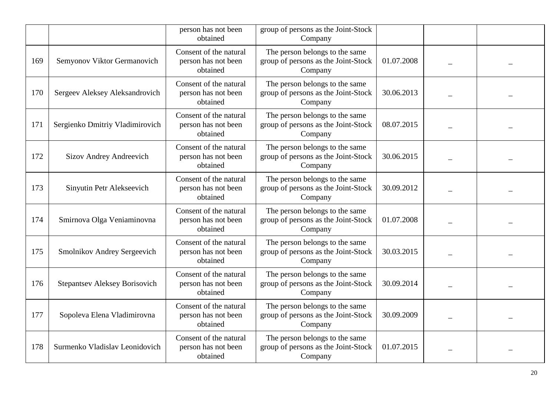|     |                                      | person has not been<br>obtained                           | group of persons as the Joint-Stock<br>Company                                   |            |  |
|-----|--------------------------------------|-----------------------------------------------------------|----------------------------------------------------------------------------------|------------|--|
| 169 | Semyonov Viktor Germanovich          | Consent of the natural<br>person has not been<br>obtained | The person belongs to the same<br>group of persons as the Joint-Stock<br>Company | 01.07.2008 |  |
| 170 | Sergeev Aleksey Aleksandrovich       | Consent of the natural<br>person has not been<br>obtained | The person belongs to the same<br>group of persons as the Joint-Stock<br>Company | 30.06.2013 |  |
| 171 | Sergienko Dmitriy Vladimirovich      | Consent of the natural<br>person has not been<br>obtained | The person belongs to the same<br>group of persons as the Joint-Stock<br>Company | 08.07.2015 |  |
| 172 | Sizov Andrey Andreevich              | Consent of the natural<br>person has not been<br>obtained | The person belongs to the same<br>group of persons as the Joint-Stock<br>Company | 30.06.2015 |  |
| 173 | Sinyutin Petr Alekseevich            | Consent of the natural<br>person has not been<br>obtained | The person belongs to the same<br>group of persons as the Joint-Stock<br>Company | 30.09.2012 |  |
| 174 | Smirnova Olga Veniaminovna           | Consent of the natural<br>person has not been<br>obtained | The person belongs to the same<br>group of persons as the Joint-Stock<br>Company | 01.07.2008 |  |
| 175 | Smolnikov Andrey Sergeevich          | Consent of the natural<br>person has not been<br>obtained | The person belongs to the same<br>group of persons as the Joint-Stock<br>Company | 30.03.2015 |  |
| 176 | <b>Stepantsev Aleksey Borisovich</b> | Consent of the natural<br>person has not been<br>obtained | The person belongs to the same<br>group of persons as the Joint-Stock<br>Company | 30.09.2014 |  |
| 177 | Sopoleva Elena Vladimirovna          | Consent of the natural<br>person has not been<br>obtained | The person belongs to the same<br>group of persons as the Joint-Stock<br>Company | 30.09.2009 |  |
| 178 | Surmenko Vladislav Leonidovich       | Consent of the natural<br>person has not been<br>obtained | The person belongs to the same<br>group of persons as the Joint-Stock<br>Company | 01.07.2015 |  |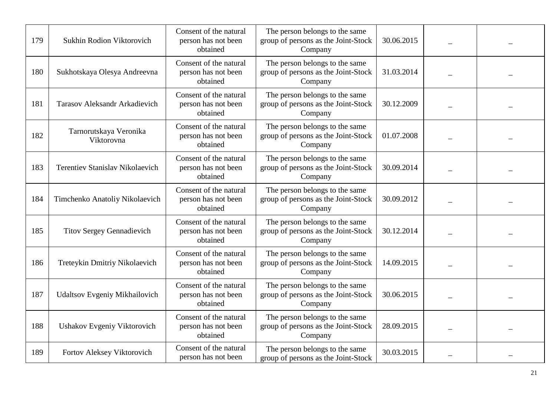| 179 | Sukhin Rodion Viktorovich              | Consent of the natural<br>person has not been<br>obtained | The person belongs to the same<br>group of persons as the Joint-Stock<br>Company | 30.06.2015 |  |
|-----|----------------------------------------|-----------------------------------------------------------|----------------------------------------------------------------------------------|------------|--|
| 180 | Sukhotskaya Olesya Andreevna           | Consent of the natural<br>person has not been<br>obtained | The person belongs to the same<br>group of persons as the Joint-Stock<br>Company | 31.03.2014 |  |
| 181 | Tarasov Aleksandr Arkadievich          | Consent of the natural<br>person has not been<br>obtained | The person belongs to the same<br>group of persons as the Joint-Stock<br>Company | 30.12.2009 |  |
| 182 | Tarnorutskaya Veronika<br>Viktorovna   | Consent of the natural<br>person has not been<br>obtained | The person belongs to the same<br>group of persons as the Joint-Stock<br>Company | 01.07.2008 |  |
| 183 | <b>Terentiev Stanislav Nikolaevich</b> | Consent of the natural<br>person has not been<br>obtained | The person belongs to the same<br>group of persons as the Joint-Stock<br>Company | 30.09.2014 |  |
| 184 | Timchenko Anatoliy Nikolaevich         | Consent of the natural<br>person has not been<br>obtained | The person belongs to the same<br>group of persons as the Joint-Stock<br>Company | 30.09.2012 |  |
| 185 | <b>Titov Sergey Gennadievich</b>       | Consent of the natural<br>person has not been<br>obtained | The person belongs to the same<br>group of persons as the Joint-Stock<br>Company | 30.12.2014 |  |
| 186 | Treteykin Dmitriy Nikolaevich          | Consent of the natural<br>person has not been<br>obtained | The person belongs to the same<br>group of persons as the Joint-Stock<br>Company | 14.09.2015 |  |
| 187 | Udaltsov Evgeniy Mikhailovich          | Consent of the natural<br>person has not been<br>obtained | The person belongs to the same<br>group of persons as the Joint-Stock<br>Company | 30.06.2015 |  |
| 188 | Ushakov Evgeniy Viktorovich            | Consent of the natural<br>person has not been<br>obtained | The person belongs to the same<br>group of persons as the Joint-Stock<br>Company | 28.09.2015 |  |
| 189 | Fortov Aleksey Viktorovich             | Consent of the natural<br>person has not been             | The person belongs to the same<br>group of persons as the Joint-Stock            | 30.03.2015 |  |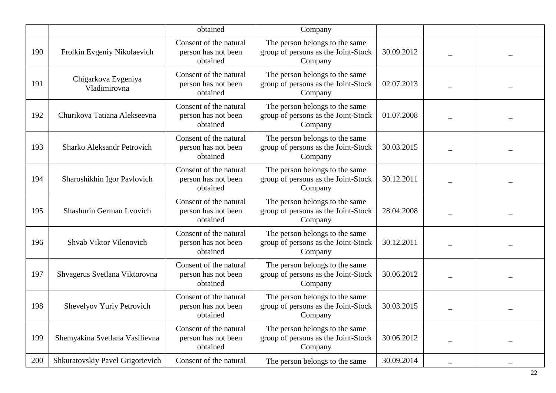|     |                                     | obtained                                                  | Company                                                                          |            |  |
|-----|-------------------------------------|-----------------------------------------------------------|----------------------------------------------------------------------------------|------------|--|
| 190 | Frolkin Evgeniy Nikolaevich         | Consent of the natural<br>person has not been<br>obtained | The person belongs to the same<br>group of persons as the Joint-Stock<br>Company | 30.09.2012 |  |
| 191 | Chigarkova Evgeniya<br>Vladimirovna | Consent of the natural<br>person has not been<br>obtained | The person belongs to the same<br>group of persons as the Joint-Stock<br>Company | 02.07.2013 |  |
| 192 | Churikova Tatiana Alekseevna        | Consent of the natural<br>person has not been<br>obtained | The person belongs to the same<br>group of persons as the Joint-Stock<br>Company | 01.07.2008 |  |
| 193 | Sharko Aleksandr Petrovich          | Consent of the natural<br>person has not been<br>obtained | The person belongs to the same<br>group of persons as the Joint-Stock<br>Company | 30.03.2015 |  |
| 194 | Sharoshikhin Igor Pavlovich         | Consent of the natural<br>person has not been<br>obtained | The person belongs to the same<br>group of persons as the Joint-Stock<br>Company | 30.12.2011 |  |
| 195 | Shashurin German Lvovich            | Consent of the natural<br>person has not been<br>obtained | The person belongs to the same<br>group of persons as the Joint-Stock<br>Company | 28.04.2008 |  |
| 196 | Shvab Viktor Vilenovich             | Consent of the natural<br>person has not been<br>obtained | The person belongs to the same<br>group of persons as the Joint-Stock<br>Company | 30.12.2011 |  |
| 197 | Shvagerus Svetlana Viktorovna       | Consent of the natural<br>person has not been<br>obtained | The person belongs to the same<br>group of persons as the Joint-Stock<br>Company | 30.06.2012 |  |
| 198 | Shevelyov Yuriy Petrovich           | Consent of the natural<br>person has not been<br>obtained | The person belongs to the same<br>group of persons as the Joint-Stock<br>Company | 30.03.2015 |  |
| 199 | Shemyakina Svetlana Vasilievna      | Consent of the natural<br>person has not been<br>obtained | The person belongs to the same<br>group of persons as the Joint-Stock<br>Company | 30.06.2012 |  |
| 200 | Shkuratovskiy Pavel Grigorievich    | Consent of the natural                                    | The person belongs to the same                                                   | 30.09.2014 |  |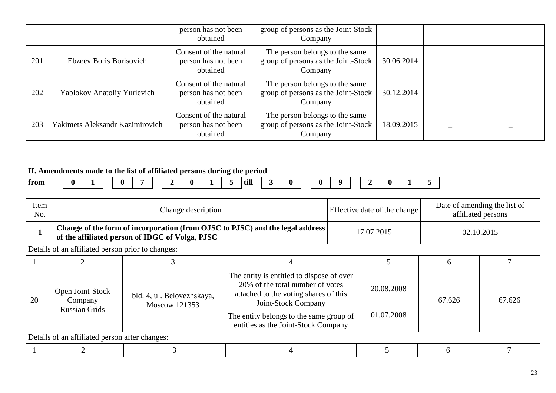|     |                                 | person has not been<br>obtained                           | group of persons as the Joint-Stock<br>Company                                   |            |  |
|-----|---------------------------------|-----------------------------------------------------------|----------------------------------------------------------------------------------|------------|--|
| 201 | Ebzeev Boris Borisovich         | Consent of the natural<br>person has not been<br>obtained | The person belongs to the same<br>group of persons as the Joint-Stock<br>Company | 30.06.2014 |  |
| 202 | Yablokov Anatoliy Yurievich     | Consent of the natural<br>person has not been<br>obtained | The person belongs to the same<br>group of persons as the Joint-Stock<br>Company | 30.12.2014 |  |
| 203 | Yakimets Aleksandr Kazimirovich | Consent of the natural<br>person has not been<br>obtained | The person belongs to the same<br>group of persons as the Joint-Stock<br>Company | 18.09.2015 |  |

#### **II. Amendments made to the list of affiliated persons during the period**

|           | - - -  | ---- | $ -$ | .             |   |   |      | - - |  |  |          |  |  |
|-----------|--------|------|------|---------------|---|---|------|-----|--|--|----------|--|--|
| æ<br>trom | ∩<br>v |      |      | -<br>. .<br>_ | a | - | till |     |  |  | . .<br>_ |  |  |

| Item<br>No. |                                                     | Change description                                                                                                               |                                                            |                                                                                                                                                                   |                          | Date of amending the list of<br>Effective date of the change<br>affiliated persons |        |
|-------------|-----------------------------------------------------|----------------------------------------------------------------------------------------------------------------------------------|------------------------------------------------------------|-------------------------------------------------------------------------------------------------------------------------------------------------------------------|--------------------------|------------------------------------------------------------------------------------|--------|
|             |                                                     | Change of the form of incorporation (from OJSC to PJSC) and the legal address<br>of the affiliated person of IDGC of Volga, PJSC |                                                            |                                                                                                                                                                   | 17.07.2015<br>02.10.2015 |                                                                                    |        |
|             | Details of an affiliated person prior to changes:   |                                                                                                                                  |                                                            |                                                                                                                                                                   |                          |                                                                                    |        |
|             |                                                     |                                                                                                                                  |                                                            |                                                                                                                                                                   |                          | h                                                                                  |        |
| 20          | Open Joint-Stock<br>Company<br><b>Russian Grids</b> | bld. 4, ul. Belovezhskaya,<br>Moscow 121353                                                                                      | Joint-Stock Company<br>entities as the Joint-Stock Company | The entity is entitled to dispose of over<br>20% of the total number of votes<br>attached to the voting shares of this<br>The entity belongs to the same group of |                          | 67.626                                                                             | 67.626 |

|--|--|--|--|--|--|--|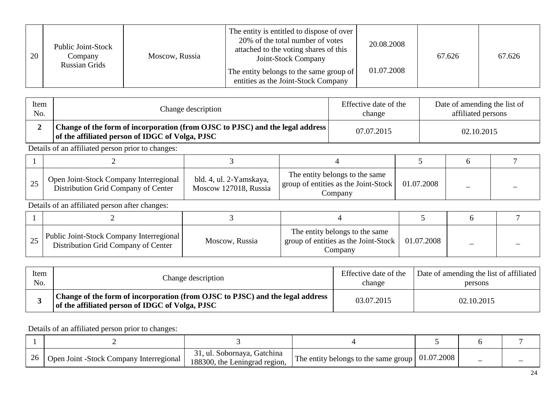| 20 | Public Joint-Stock<br>Company<br><b>Russian Grids</b> | Moscow, Russia | The entity is entitled to dispose of over<br>20% of the total number of votes<br>attached to the voting shares of this<br>Joint-Stock Company<br>The entity belongs to the same group of<br>entities as the Joint-Stock Company | 20.08.2008<br>01.07.2008 | 67.626 | 67.626 |
|----|-------------------------------------------------------|----------------|---------------------------------------------------------------------------------------------------------------------------------------------------------------------------------------------------------------------------------|--------------------------|--------|--------|
|----|-------------------------------------------------------|----------------|---------------------------------------------------------------------------------------------------------------------------------------------------------------------------------------------------------------------------------|--------------------------|--------|--------|

| Item<br>No. |                                                                                                                                  | Change description | Effective date of the<br>change | Date of amending the list of<br>affiliated persons |  |
|-------------|----------------------------------------------------------------------------------------------------------------------------------|--------------------|---------------------------------|----------------------------------------------------|--|
|             | Change of the form of incorporation (from OJSC to PJSC) and the legal address<br>of the affiliated person of IDGC of Volga, PJSC |                    | 07.07.2015                      | 02.10.2015                                         |  |
|             | Details of an affiliated person prior to changes:                                                                                |                    |                                 |                                                    |  |
|             |                                                                                                                                  |                    |                                 |                                                    |  |

| رے | Open Joint-Stock Company Interregional<br>Distribution Grid Company of Center | bld. 4, ul. 2-Yamskaya,<br>Moscow 127018, Russia | The entity belongs to the same<br>  group of entities as the Joint-Stock $\vert \cdot \vert$<br>Company | 01.07.2008 |  |
|----|-------------------------------------------------------------------------------|--------------------------------------------------|---------------------------------------------------------------------------------------------------------|------------|--|

| $\Delta$ | Public Joint-Stock Company Interregional  <br>Distribution Grid Company of Center | Moscow, Russia | The entity belongs to the same<br>group of entities as the Joint-Stock<br>Company | 01.07.2008 |  |
|----------|-----------------------------------------------------------------------------------|----------------|-----------------------------------------------------------------------------------|------------|--|

| Item | Change description                                                                                                               | Effective date of the | Date of amending the list of affiliated |
|------|----------------------------------------------------------------------------------------------------------------------------------|-----------------------|-----------------------------------------|
| No.  |                                                                                                                                  | change                | persons                                 |
|      | Change of the form of incorporation (from OJSC to PJSC) and the legal address<br>of the affiliated person of IDGC of Volga, PJSC | 03.07.2015            | 02.10.2015                              |

| 26 | Open Joint -Stock Company Interregional | 31, ul. Sobornaya, Gatchina<br>188300, the Leningrad region, | The entity belongs to the same group $\vert 01.07.2008 \vert$ |  |  |
|----|-----------------------------------------|--------------------------------------------------------------|---------------------------------------------------------------|--|--|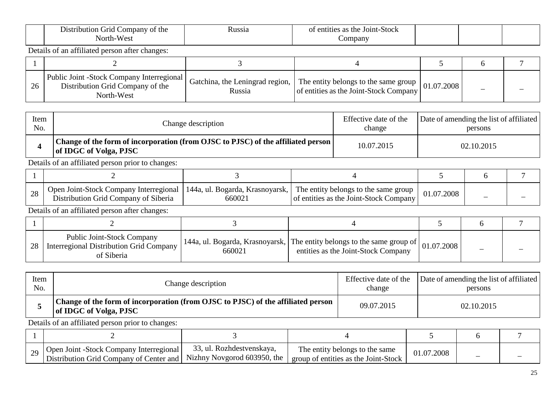| Distribution Grid Company of the<br>North-West | <b>Russia</b> | of entities as the Joint-Stock<br>Company |  |  |
|------------------------------------------------|---------------|-------------------------------------------|--|--|
| Details of an affiliated person after changes: |               |                                           |  |  |

| 26 | Public Joint -Stock Company Interregional<br>Distribution Grid Company of the<br>North-West | Russia | Gatchina, the Leningrad region, $\vert$ The entity belongs to the same group $\vert$ 01.07.2008 $\vert$<br>of entities as the Joint-Stock Company |  |  |
|----|---------------------------------------------------------------------------------------------|--------|---------------------------------------------------------------------------------------------------------------------------------------------------|--|--|

| Item | Change description                                                                                           | Effective date of the | Date of amending the list of affiliated |
|------|--------------------------------------------------------------------------------------------------------------|-----------------------|-----------------------------------------|
| No.  |                                                                                                              | change                | persons                                 |
|      | Change of the form of incorporation (from OJSC to PJSC) of the affiliated person  <br>of IDGC of Volga, PJSC | 10.07.2015            | 02.10.2015                              |

| $\Omega$<br>28 | Open Joint-Stock Company Interregional   144a, ul. Bogarda, Krasnoyarsk,   The entity belongs to the same group<br>Distribution Grid Company of Siberia | 660021 | of entities as the Joint-Stock Company | 01.07.2008 |  |
|----------------|---------------------------------------------------------------------------------------------------------------------------------------------------------|--------|----------------------------------------|------------|--|

Details of an affiliated person after changes:

| 28 | <b>Public Joint-Stock Company</b><br>Interregional Distribution Grid Company<br>of Siberia | 660021 | $\vert$ 144a, ul. Bogarda, Krasnoyarsk, The entity belongs to the same group of $\vert$ 01.07.2008 $\vert$<br>entities as the Joint-Stock Company |  |  |
|----|--------------------------------------------------------------------------------------------|--------|---------------------------------------------------------------------------------------------------------------------------------------------------|--|--|

| Item | Change description                                                                                         | Effective date of the | Date of amending the list of affiliated |
|------|------------------------------------------------------------------------------------------------------------|-----------------------|-----------------------------------------|
| No.  |                                                                                                            | change                | persons                                 |
|      | Change of the form of incorporation (from OJSC to PJSC) of the affiliated person<br>of IDGC of Volga, PJSC | 09.07.2015            | 02.10.2015                              |

| 20 | Open Joint -Stock Company Interregional<br>  Distribution Grid Company of Center and   Nizhny Novgorod 603950, the | 33, ul. Rozhdestvenskaya, | The entity belongs to the same<br>group of entities as the Joint-Stock | J1.07.2008 |  |
|----|--------------------------------------------------------------------------------------------------------------------|---------------------------|------------------------------------------------------------------------|------------|--|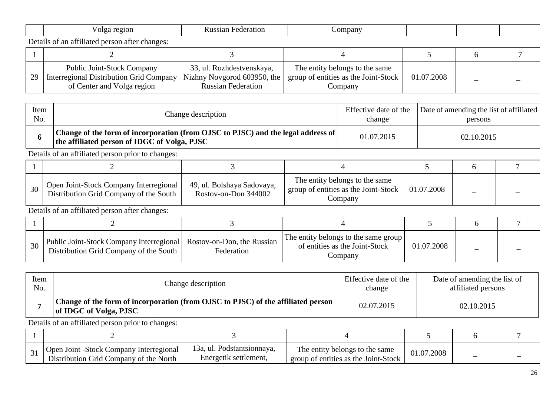|  |  | O19<br>.<br>89 L | ман<br>$-11$<br>,,,,,<br><br>ᇅ | omba. |  |  |
|--|--|------------------|--------------------------------|-------|--|--|
|--|--|------------------|--------------------------------|-------|--|--|

| 29 | <b>Public Joint-Stock Company</b><br>Interregional Distribution Grid Company   Nizhny Novgorod 603950, the<br>of Center and Volga region | 33, ul. Rozhdestvenskaya,<br><b>Russian Federation</b> | The entity belongs to the same<br>group of entities as the Joint-Stock<br>Company | 01.07.2008 |  |
|----|------------------------------------------------------------------------------------------------------------------------------------------|--------------------------------------------------------|-----------------------------------------------------------------------------------|------------|--|

| Item | Change description                                                                                                               | Effective date of the | Date of amending the list of affiliated |
|------|----------------------------------------------------------------------------------------------------------------------------------|-----------------------|-----------------------------------------|
| No.  |                                                                                                                                  | change                | persons                                 |
|      | Change of the form of incorporation (from OJSC to PJSC) and the legal address of<br>the affiliated person of IDGC of Volga, PJSC | 01.07.2015            | 02.10.2015                              |

Details of an affiliated person prior to changes:

| 30 | Open Joint-Stock Company Interregional<br>Distribution Grid Company of the South | 49, ul. Bolshaya Sadovaya,<br>Rostov-on-Don 344002 | The entity belongs to the same<br>group of entities as the Joint-Stock  <br>.`ompanv | 01.07.2008 |  |
|----|----------------------------------------------------------------------------------|----------------------------------------------------|--------------------------------------------------------------------------------------|------------|--|

Details of an affiliated person after changes:

| 30 | Public Joint-Stock Company Interregional   Rostov-on-Don, the Russian<br>Distribution Grid Company of the South | Federation | The entity belongs to the same group<br>of entities as the Joint-Stock<br>Company | 01.07.2008 | - |  |
|----|-----------------------------------------------------------------------------------------------------------------|------------|-----------------------------------------------------------------------------------|------------|---|--|

| Item | Change description                                                                                         | Effective date of the | Date of amending the list of |
|------|------------------------------------------------------------------------------------------------------------|-----------------------|------------------------------|
| No.  |                                                                                                            | change                | affiliated persons           |
|      | Change of the form of incorporation (from OJSC to PJSC) of the affiliated person<br>of IDGC of Volga, PJSC | 02.07.2015            | 02.10.2015                   |

| <b>Open Joint -Stock Company Interregional</b><br>Distribution Grid Company of the North | 13a, ul. Podstantsionnaya,<br>Energetik settlement, | The entity belongs to the same<br>group of entities as the Joint-Stock | 01.07.2008 |  |
|------------------------------------------------------------------------------------------|-----------------------------------------------------|------------------------------------------------------------------------|------------|--|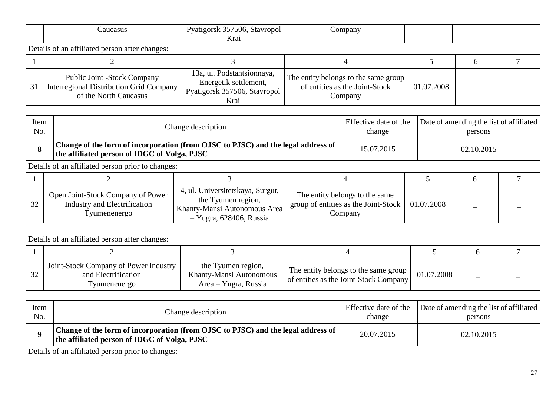| aucasus                                                 | Pyatigorsk 357506, Stavropol<br>Krai | $\mathcal{L}$ ompany |  |  |
|---------------------------------------------------------|--------------------------------------|----------------------|--|--|
| 0.011<br>Details of an affiliated person after changes: |                                      |                      |  |  |

| Public Joint -Stock Company<br>Interregional Distribution Grid Company<br>of the North Caucasus | 13a, ul. Podstantsionnaya,<br>Energetik settlement,<br>Pyatigorsk 357506, Stavropol<br>Krai | The entity belongs to the same group<br>of entities as the Joint-Stock<br>Company | 01.07.2008 |  |
|-------------------------------------------------------------------------------------------------|---------------------------------------------------------------------------------------------|-----------------------------------------------------------------------------------|------------|--|

| Item | Change description                                                                                                               | Effective date of the | Date of amending the list of affiliated |
|------|----------------------------------------------------------------------------------------------------------------------------------|-----------------------|-----------------------------------------|
| No.  |                                                                                                                                  | change                | persons                                 |
|      | Change of the form of incorporation (from OJSC to PJSC) and the legal address of<br>the affiliated person of IDGC of Volga, PJSC | 15.07.2015            | 02.10.2015                              |

| 32 | Open Joint-Stock Company of Power<br>Industry and Electrification<br>Tyumenenergo | 4, ul. Universitetskaya, Surgut,<br>the Tyumen region,<br>Khanty-Mansi Autonomous Area<br>$-$ Yugra, 628406, Russia | The entity belongs to the same<br>group of entities as the Joint-Stock $\vert$ 01.07.2008<br>Company |  |  |
|----|-----------------------------------------------------------------------------------|---------------------------------------------------------------------------------------------------------------------|------------------------------------------------------------------------------------------------------|--|--|

Details of an affiliated person after changes:

| $\cap$ | Joint-Stock Company of Power Industry<br>and Electrification<br>I vumenenergo | the Tyumen region,<br>Khanty-Mansi Autonomous<br>Area – Yugra, Russia | $\frac{1}{2}$ The entity belongs to the same group<br>of entities as the Joint-Stock Company | 01.07.2008 |  |
|--------|-------------------------------------------------------------------------------|-----------------------------------------------------------------------|----------------------------------------------------------------------------------------------|------------|--|

| Item | Change description                                                                                                               | Effective date of the | Date of amending the list of affiliated |
|------|----------------------------------------------------------------------------------------------------------------------------------|-----------------------|-----------------------------------------|
| No.  |                                                                                                                                  | change                | persons                                 |
|      | Change of the form of incorporation (from OJSC to PJSC) and the legal address of<br>the affiliated person of IDGC of Volga, PJSC | 20.07.2015            | 02.10.2015                              |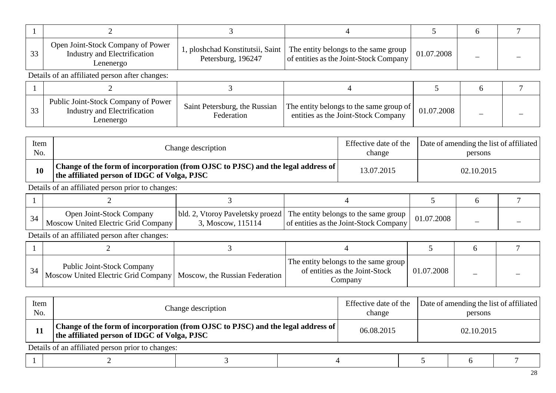| 33 | Open Joint-Stock Company of Power<br>Industry and Electrification<br>Lenenergo   | 1, ploshchad Konstitutsii, Saint<br>Petersburg, 196247 | The entity belongs to the same group<br>01.07.2008<br>of entities as the Joint-Stock Company |            |  |  |  |  |
|----|----------------------------------------------------------------------------------|--------------------------------------------------------|----------------------------------------------------------------------------------------------|------------|--|--|--|--|
|    | Details of an affiliated person after changes:                                   |                                                        |                                                                                              |            |  |  |  |  |
|    |                                                                                  |                                                        |                                                                                              |            |  |  |  |  |
| 33 | Public Joint-Stock Company of Power<br>Industry and Electrification<br>Lenenergo | Saint Petersburg, the Russian<br>Federation            | The entity belongs to the same group of<br>entities as the Joint-Stock Company               | 01.07.2008 |  |  |  |  |

| Item | Change description                                                                                                                 | Effective date of the | Date of amending the list of affiliated |
|------|------------------------------------------------------------------------------------------------------------------------------------|-----------------------|-----------------------------------------|
| No.  |                                                                                                                                    | change                | persons                                 |
| 10   | Change of the form of incorporation (from OJSC to PJSC) and the legal address of  <br>the affiliated person of IDGC of Volga, PJSC | 13.07.2015            | 02.10.2015                              |

| <b>Open Joint-Stock Company</b><br>Moscow United Electric Grid Company | 3, Moscow, 115114 | bld. 2, Vtoroy Paveletsky proezd   The entity belongs to the same group   01.07.2008  <br>of entities as the Joint-Stock Company | _ |  |
|------------------------------------------------------------------------|-------------------|----------------------------------------------------------------------------------------------------------------------------------|---|--|

Details of an affiliated person after changes:

| <b>Public Joint-Stock Company</b><br>Moscow United Electric Grid Company   Moscow, the Russian Federation | The entity belongs to the same group<br>of entities as the Joint-Stock<br>Company | 01.07.2008 | _ |  |
|-----------------------------------------------------------------------------------------------------------|-----------------------------------------------------------------------------------|------------|---|--|

| Item<br>No. | Change description                                                                                                               | Effective date of the<br>change | Date of amending the list of affiliated<br>persons |
|-------------|----------------------------------------------------------------------------------------------------------------------------------|---------------------------------|----------------------------------------------------|
|             | Change of the form of incorporation (from OJSC to PJSC) and the legal address of<br>the affiliated person of IDGC of Volga, PJSC | 06.08.2015                      | 02.10.2015                                         |
|             | Details of an affiliated person prior to changes:                                                                                |                                 |                                                    |

 $1 \quad 2 \quad 1 \quad 3 \quad 4 \quad 5 \quad 6 \quad 7$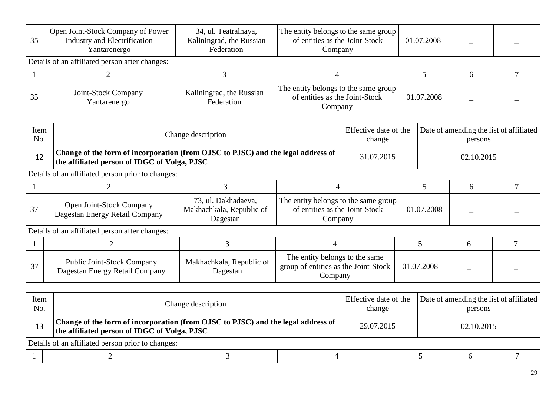| 35 | Open Joint-Stock Company of Power<br>Industry and Electrification<br>Yantarenergo | 34, ul. Teatralnaya,<br>Kaliningrad, the Russian<br>Federation | The entity belongs to the same group<br>of entities as the Joint-Stock<br>Company | 01.07.2008 |  |
|----|-----------------------------------------------------------------------------------|----------------------------------------------------------------|-----------------------------------------------------------------------------------|------------|--|
|    | Details of an affiliated person after changes:                                    |                                                                |                                                                                   |            |  |
|    |                                                                                   |                                                                |                                                                                   |            |  |
| 35 | Joint-Stock Company<br>Yantarenergo                                               | Kaliningrad, the Russian<br>Federation                         | The entity belongs to the same group<br>of entities as the Joint-Stock<br>Company | 01.07.2008 |  |

| Item | Change description                                                                                                                 | Effective date of the | Date of amending the list of affiliated |
|------|------------------------------------------------------------------------------------------------------------------------------------|-----------------------|-----------------------------------------|
| No.  |                                                                                                                                    | change                | persons                                 |
|      | Change of the form of incorporation (from OJSC to PJSC) and the legal address of  <br>the affiliated person of IDGC of Volga, PJSC | 31.07.2015            | 02.10.2015                              |

| $\sim$ | <b>Open Joint-Stock Company</b><br>Dagestan Energy Retail Company | 73, ul. Dakhadaeva,<br>Makhachkala, Republic of<br>Dagestan | The entity belongs to the same group<br>of entities as the Joint-Stock<br>Company | 01.07.2008 |  |
|--------|-------------------------------------------------------------------|-------------------------------------------------------------|-----------------------------------------------------------------------------------|------------|--|

| $\sim$<br>ا ب | <b>Public Joint-Stock Company</b><br>Dagestan Energy Retail Company | Makhachkala, Republic of<br>Dagestan | The entity belongs to the same<br>group of entities as the Joint-Stock  <br>Company | 01.07.2008 |  |
|---------------|---------------------------------------------------------------------|--------------------------------------|-------------------------------------------------------------------------------------|------------|--|

| Item<br>No. | Change description                                                                                                                 |  | Effective date of the<br>change |  | Date of amending the list of affiliated<br>persons |  |  |
|-------------|------------------------------------------------------------------------------------------------------------------------------------|--|---------------------------------|--|----------------------------------------------------|--|--|
| 13          | Change of the form of incorporation (from OJSC to PJSC) and the legal address of  <br>the affiliated person of IDGC of Volga, PJSC |  | 29.07.2015                      |  | 02.10.2015                                         |  |  |
|             | Details of an affiliated person prior to changes:                                                                                  |  |                                 |  |                                                    |  |  |
|             |                                                                                                                                    |  |                                 |  |                                                    |  |  |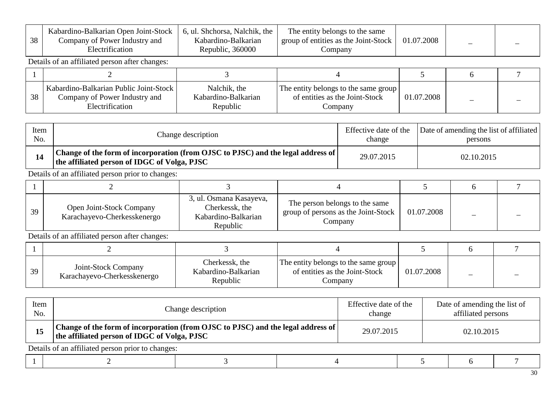| 38 | Kabardino-Balkarian Open Joint-Stock<br>Company of Power Industry and<br>Electrification   | 6, ul. Shchorsa, Nalchik, the<br>Kabardino-Balkarian<br>Republic, 360000 | The entity belongs to the same<br>group of entities as the Joint-Stock<br>Company | 01.07.2008 |  |
|----|--------------------------------------------------------------------------------------------|--------------------------------------------------------------------------|-----------------------------------------------------------------------------------|------------|--|
|    | Details of an affiliated person after changes:                                             |                                                                          |                                                                                   |            |  |
|    |                                                                                            |                                                                          |                                                                                   |            |  |
| 38 | Kabardino-Balkarian Public Joint-Stock<br>Company of Power Industry and<br>Electrification | Nalchik, the<br>Kabardino-Balkarian<br>Republic                          | The entity belongs to the same group<br>of entities as the Joint-Stock<br>Company | 01.07.2008 |  |

| Item | Change description                                                                                                                                  | Effective date of the | Date of amending the list of affiliated |
|------|-----------------------------------------------------------------------------------------------------------------------------------------------------|-----------------------|-----------------------------------------|
| No.  |                                                                                                                                                     | change                | persons                                 |
|      | $^\dagger$ Change of the form of incorporation (from OJSC to PJSC) and the legal address of $\vert$<br>the affiliated person of IDGC of Volga, PJSC | 29.07.2015            | 02.10.2015                              |

| 39 | Open Joint-Stock Company<br>Karachayevo-Cherkesskenergo | 3, ul. Osmana Kasayeva,<br>Cherkessk, the<br>Kabardino-Balkarian<br>Republic | The person belongs to the same<br>group of persons as the Joint-Stock<br>Company | 01.07.2008 |  |
|----|---------------------------------------------------------|------------------------------------------------------------------------------|----------------------------------------------------------------------------------|------------|--|

| 39 | Joint-Stock Company<br>Karachayevo-Cherkesskenergo | Cherkessk, the<br>Kabardino-Balkarian<br>Republic | The entity belongs to the same group<br>of entities as the Joint-Stock<br>Company | 01.07.2008 |  |
|----|----------------------------------------------------|---------------------------------------------------|-----------------------------------------------------------------------------------|------------|--|

| Item<br>No. | Change description                                                                                                                           | Effective date of the<br>change | Date of amending the list of<br>affiliated persons |  |  |
|-------------|----------------------------------------------------------------------------------------------------------------------------------------------|---------------------------------|----------------------------------------------------|--|--|
| 15          | $\pm$ Change of the form of incorporation (from OJSC to PJSC) and the legal address of $\pm$<br>the affiliated person of IDGC of Volga, PJSC | 29.07.2015                      | 02.10.2015                                         |  |  |
|             | Details of an affiliated person prior to changes:                                                                                            |                                 |                                                    |  |  |

|--|--|--|--|--|--|--|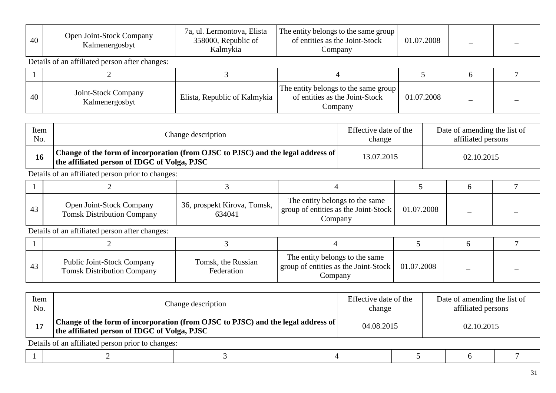| 40 | Open Joint-Stock Company<br>Kalmenergosbyt     | 7a, ul. Lermontova, Elista<br>358000, Republic of<br>Kalmykia | The entity belongs to the same group<br>of entities as the Joint-Stock<br>Company | 01.07.2008 |  |
|----|------------------------------------------------|---------------------------------------------------------------|-----------------------------------------------------------------------------------|------------|--|
|    | Details of an affiliated person after changes: |                                                               |                                                                                   |            |  |
|    |                                                |                                                               |                                                                                   |            |  |
| 40 | Joint-Stock Company<br>Kalmenergosbyt          | Elista, Republic of Kalmykia                                  | The entity belongs to the same group<br>of entities as the Joint-Stock<br>Company | 01.07.2008 |  |

| Item | Change description                                                                                                                           | Effective date of the | Date of amending the list of |
|------|----------------------------------------------------------------------------------------------------------------------------------------------|-----------------------|------------------------------|
| No.  |                                                                                                                                              | change                | affiliated persons           |
| 16   | $\pm$ Change of the form of incorporation (from OJSC to PJSC) and the legal address of $\pm$<br>the affiliated person of IDGC of Volga, PJSC | 13.07.2015            | 02.10.2015                   |

| Open Joint-Stock Company<br><b>Tomsk Distribution Company</b> | 36, prospekt Kirova, Tomsk,<br>634041 | The entity belongs to the same<br>group of entities as the Joint-Stock<br>Company | 01.07.2008 |  |
|---------------------------------------------------------------|---------------------------------------|-----------------------------------------------------------------------------------|------------|--|

| 43 | <b>Public Joint-Stock Company</b><br><b>Tomsk Distribution Company</b> | Tomsk, the Russian<br>Federation | The entity belongs to the same<br>$\frac{1}{2}$ group of entities as the Joint-Stock<br>Company | 01.07.2008 |  |
|----|------------------------------------------------------------------------|----------------------------------|-------------------------------------------------------------------------------------------------|------------|--|

| Item<br>No. | Change description                                                                                                               |  | Effective date of the<br>change | Date of amending the list of<br>affiliated persons |            |  |
|-------------|----------------------------------------------------------------------------------------------------------------------------------|--|---------------------------------|----------------------------------------------------|------------|--|
| 17          | Change of the form of incorporation (from OJSC to PJSC) and the legal address of<br>the affiliated person of IDGC of Volga, PJSC |  |                                 | 04.08.2015                                         | 02.10.2015 |  |
|             | Details of an affiliated person prior to changes:                                                                                |  |                                 |                                                    |            |  |
|             |                                                                                                                                  |  |                                 |                                                    |            |  |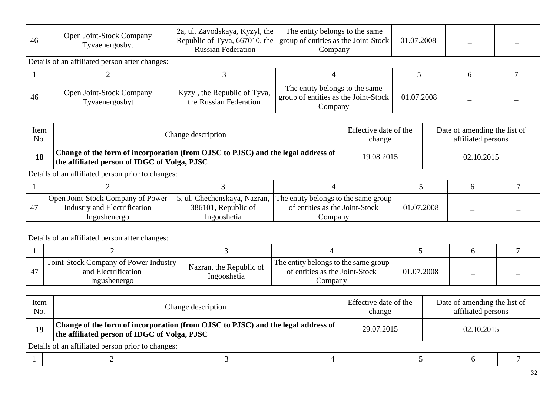| 46 | <b>Open Joint-Stock Company</b><br>l yvaenergosbyt | 2a, ul. Zavodskaya, Kyzyl, the<br><b>Russian Federation</b> | The entity belongs to the same<br>Republic of Tyva, 667010, the   group of entities as the Joint-Stock  <br>Company | 01.07.2008 |  |  |
|----|----------------------------------------------------|-------------------------------------------------------------|---------------------------------------------------------------------------------------------------------------------|------------|--|--|
|----|----------------------------------------------------|-------------------------------------------------------------|---------------------------------------------------------------------------------------------------------------------|------------|--|--|

| 46 | Open Joint-Stock Company<br>Tyvaenergosbyt | Kyzyl, the Republic of Tyva,<br>the Russian Federation | The entity belongs to the same<br>group of entities as the Joint-Stock<br>Company | 01.07.2008 |  |
|----|--------------------------------------------|--------------------------------------------------------|-----------------------------------------------------------------------------------|------------|--|

| Item | Change description                                                                                                                 | Effective date of the | Date of amending the list of |
|------|------------------------------------------------------------------------------------------------------------------------------------|-----------------------|------------------------------|
| No.  |                                                                                                                                    | change                | affiliated persons           |
|      | Change of the form of incorporation (from OJSC to PJSC) and the legal address of  <br>the affiliated person of IDGC of Volga, PJSC | 19.08.2015            | 02.10.2015                   |

Details of an affiliated person prior to changes:

| Open Joint-Stock Company of Power 5, ul. Chechenskaya, Nazran, The entity belongs to the same group<br>Industry and Electrification<br>Ingushenergo | 386101, Republic of<br>Ingooshetia | of entities as the Joint-Stock<br>Company | 01.07.2008 |  |
|-----------------------------------------------------------------------------------------------------------------------------------------------------|------------------------------------|-------------------------------------------|------------|--|

| Joint-Stock Company of Power Industry<br>and Electrification<br>Ingushenergo | Nazran, the Republic of<br>Ingooshetia | The entity belongs to the same group<br>of entities as the Joint-Stock<br>Company | 01.07.2008 |  |
|------------------------------------------------------------------------------|----------------------------------------|-----------------------------------------------------------------------------------|------------|--|

| Item<br>No. | Change description                                                                                                                 | Effective date of the<br>change | Date of amending the list of<br>affiliated persons |
|-------------|------------------------------------------------------------------------------------------------------------------------------------|---------------------------------|----------------------------------------------------|
| 19          | Change of the form of incorporation (from OJSC to PJSC) and the legal address of  <br>the affiliated person of IDGC of Volga, PJSC | 29.07.2015                      | 02.10.2015                                         |
|             | Details of an affiliated person prior to changes:                                                                                  |                                 |                                                    |

|--|--|--|--|--|--|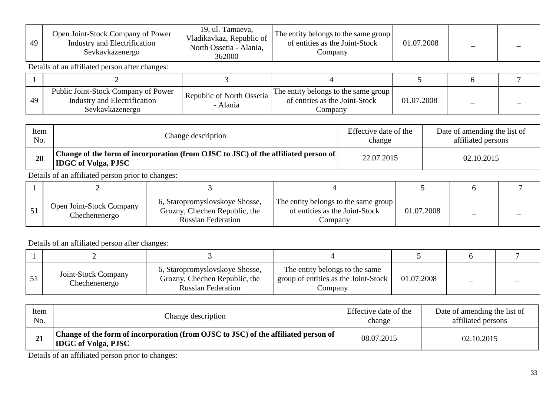| 49 | Open Joint-Stock Company of Power<br>Industry and Electrification<br>Sevkavkazenergo | 19, ul. Tamaeva,<br>Vladikavkaz, Republic of<br>North Ossetia - Alania,<br>362000 | The entity belongs to the same group<br>of entities as the Joint-Stock<br>Company | 01.07.2008 |  |
|----|--------------------------------------------------------------------------------------|-----------------------------------------------------------------------------------|-----------------------------------------------------------------------------------|------------|--|
|    | Details of an official names often above as                                          |                                                                                   |                                                                                   |            |  |

| 49 | Public Joint-Stock Company of Power<br>Industry and Electrification<br>Sevkavkazenergo | Republic of North Ossetia<br><b>Alania</b> | The entity belongs to the same group<br>of entities as the Joint-Stock<br>Company | 01.07.2008 |  |
|----|----------------------------------------------------------------------------------------|--------------------------------------------|-----------------------------------------------------------------------------------|------------|--|

| Item | Change description                                                                                               | Effective date of the | Date of amending the list of |
|------|------------------------------------------------------------------------------------------------------------------|-----------------------|------------------------------|
| No.  |                                                                                                                  | change                | affiliated persons           |
| 20   | Change of the form of incorporation (from OJSC to JSC) of the affiliated person of<br><b>IDGC</b> of Volga, PJSC | 22.07.2015            | 02.10.2015                   |

Details of an affiliated person prior to changes:

| <b>Open Joint-Stock Company</b><br>Chechenenergo | 6, Staropromyslovskoye Shosse,<br>Grozny, Chechen Republic, the<br><b>Russian Federation</b> | The entity belongs to the same group<br>of entities as the Joint-Stock<br>Company | 01.07.2008 |  |
|--------------------------------------------------|----------------------------------------------------------------------------------------------|-----------------------------------------------------------------------------------|------------|--|

Details of an affiliated person after changes:

| Joint-Stock Company<br>Chechenenergo | 6, Staropromyslovskoye Shosse,<br>Grozny, Chechen Republic, the<br><b>Russian Federation</b> | The entity belongs to the same<br>group of entities as the Joint-Stock<br>Company | 01.07.2008 |  |
|--------------------------------------|----------------------------------------------------------------------------------------------|-----------------------------------------------------------------------------------|------------|--|

| Item | Change description                                                                                               | Effective date of the | Date of amending the list of |
|------|------------------------------------------------------------------------------------------------------------------|-----------------------|------------------------------|
| No.  |                                                                                                                  | change                | affiliated persons           |
|      | Change of the form of incorporation (from OJSC to JSC) of the affiliated person of<br><b>IDGC</b> of Volga, PJSC | 08.07.2015            | 02.10.2015                   |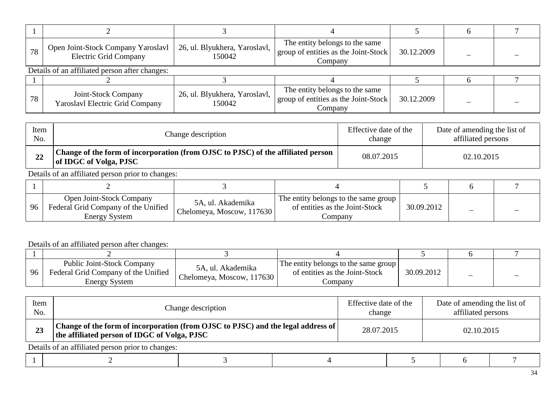| 78 | Open Joint-Stock Company Yaroslavl<br><b>Electric Grid Company</b> | 26, ul. Blyukhera, Yaroslavl,<br>150042 | The entity belongs to the same<br>group of entities as the Joint-Stock<br>Company | 30.12.2009 |  |
|----|--------------------------------------------------------------------|-----------------------------------------|-----------------------------------------------------------------------------------|------------|--|
|    | Details of an affiliated person after changes:                     |                                         |                                                                                   |            |  |
|    |                                                                    |                                         |                                                                                   |            |  |
| 78 | Joint-Stock Company<br><b>Yaroslavl Electric Grid Company</b>      | 26, ul. Blyukhera, Yaroslavl,<br>150042 | The entity belongs to the same<br>group of entities as the Joint-Stock<br>Company | 30.12.2009 |  |

| Item | Change description                                                                                         | Effective date of the | Date of amending the list of |
|------|------------------------------------------------------------------------------------------------------------|-----------------------|------------------------------|
| No.  |                                                                                                            | change                | affiliated persons           |
| 22   | Change of the form of incorporation (from OJSC to PJSC) of the affiliated person<br>of IDGC of Volga, PJSC | 08.07.2015            | 02.10.2015                   |

| 96 | <b>Open Joint-Stock Company</b><br>Federal Grid Company of the Unified<br><b>Energy System</b> | 5A, ul. Akademika<br>Chelomeya, Moscow, 117630 | The entity belongs to the same group<br>of entities as the Joint-Stock<br>∪ompany | 30.09.2012 |  |
|----|------------------------------------------------------------------------------------------------|------------------------------------------------|-----------------------------------------------------------------------------------|------------|--|

#### Details of an affiliated person after changes:

| 96 | <b>Public Joint-Stock Company</b><br>Federal Grid Company of the Unified<br>Energy System | 5A, ul. Akademika<br>Chelomeya, Moscow, 117630 | The entity belongs to the same group<br>of entities as the Joint-Stock<br>∠ompanv | 30.09.2012 | $\overline{\phantom{a}}$ |  |
|----|-------------------------------------------------------------------------------------------|------------------------------------------------|-----------------------------------------------------------------------------------|------------|--------------------------|--|

| Item<br>No.                                       | Change description                                                                                                                 | Effective date of the<br>change | Date of amending the list of<br>affiliated persons |  |  |  |
|---------------------------------------------------|------------------------------------------------------------------------------------------------------------------------------------|---------------------------------|----------------------------------------------------|--|--|--|
|                                                   | Change of the form of incorporation (from OJSC to PJSC) and the legal address of  <br>the affiliated person of IDGC of Volga, PJSC | 28.07.2015                      | 02.10.2015                                         |  |  |  |
| Details of an affiliated person prior to changes: |                                                                                                                                    |                                 |                                                    |  |  |  |

|--|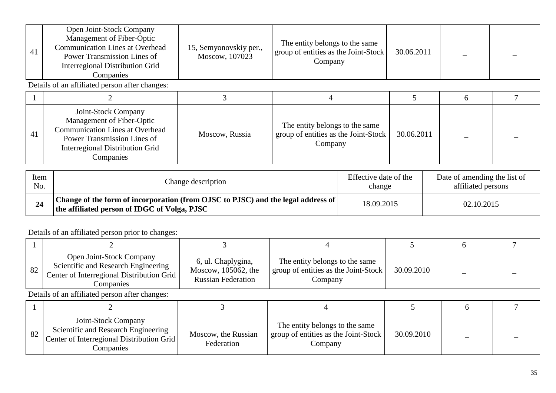| 41 | Open Joint-Stock Company<br>Management of Fiber-Optic<br><b>Communication Lines at Overhead</b><br>Power Transmission Lines of<br>Interregional Distribution Grid<br>Companies   | 15, Semyonovskiy per.,<br>Moscow, 107023 | The entity belongs to the same<br>group of entities as the Joint-Stock<br>Company | 30.06.2011 |   |  |  |  |
|----|----------------------------------------------------------------------------------------------------------------------------------------------------------------------------------|------------------------------------------|-----------------------------------------------------------------------------------|------------|---|--|--|--|
|    | Details of an affiliated person after changes:                                                                                                                                   |                                          |                                                                                   |            |   |  |  |  |
|    |                                                                                                                                                                                  |                                          |                                                                                   |            | 6 |  |  |  |
| 41 | Joint-Stock Company<br>Management of Fiber-Optic<br><b>Communication Lines at Overhead</b><br>Power Transmission Lines of<br><b>Interregional Distribution Grid</b><br>Companies | Moscow, Russia                           | The entity belongs to the same<br>group of entities as the Joint-Stock<br>Company | 30.06.2011 |   |  |  |  |

| Item | Change description                                                                                                                      | Effective date of the | Date of amending the list of |
|------|-----------------------------------------------------------------------------------------------------------------------------------------|-----------------------|------------------------------|
| No.  |                                                                                                                                         | change                | affiliated persons           |
| 24   | Change of the form of incorporation (from OJSC to PJSC) and the legal address of $\mid$<br>the affiliated person of IDGC of Volga, PJSC | 18.09.2015            | 02.10.2015                   |

| 82 | Open Joint-Stock Company<br>Scientific and Research Engineering<br>Center of Interregional Distribution Grid<br>Companies | 6, ul. Chaplygina,<br>Moscow, 105062, the<br><b>Russian Federation</b> | The entity belongs to the same<br>group of entities as the Joint-Stock<br>Company | 30.09.2010 |  |
|----|---------------------------------------------------------------------------------------------------------------------------|------------------------------------------------------------------------|-----------------------------------------------------------------------------------|------------|--|

| 82 | Joint-Stock Company<br>Scientific and Research Engineering<br>Center of Interregional Distribution Grid<br>Companies | Moscow, the Russian<br>Federation | The entity belongs to the same<br>group of entities as the Joint-Stock<br>Company | 30.09.2010 |  |
|----|----------------------------------------------------------------------------------------------------------------------|-----------------------------------|-----------------------------------------------------------------------------------|------------|--|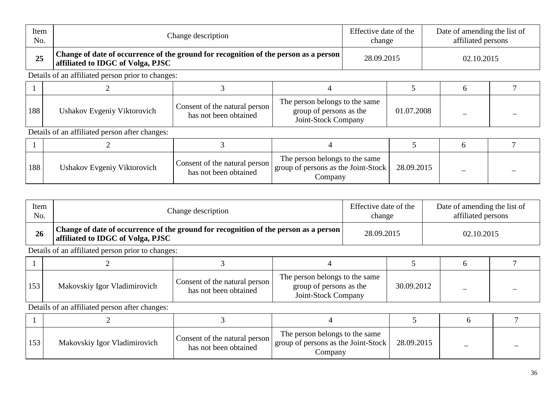| Item<br>No. |                                                   | Change description                                                                   |                                                                                  |                                                                                  | Effective date of the<br>change |            | Date of amending the list of<br>affiliated persons |  |  |
|-------------|---------------------------------------------------|--------------------------------------------------------------------------------------|----------------------------------------------------------------------------------|----------------------------------------------------------------------------------|---------------------------------|------------|----------------------------------------------------|--|--|
| 25          | affiliated to IDGC of Volga, PJSC                 | Change of date of occurrence of the ground for recognition of the person as a person |                                                                                  |                                                                                  | 28.09.2015                      |            | 02.10.2015                                         |  |  |
|             | Details of an affiliated person prior to changes: |                                                                                      |                                                                                  |                                                                                  |                                 |            |                                                    |  |  |
|             |                                                   | 3                                                                                    | 4                                                                                |                                                                                  |                                 |            | 6                                                  |  |  |
| 188         | Ushakov Evgeniy Viktorovich                       | Consent of the natural person<br>has not been obtained                               | The person belongs to the same<br>group of persons as the<br>Joint-Stock Company |                                                                                  | 01.07.2008                      |            |                                                    |  |  |
|             | Details of an affiliated person after changes:    |                                                                                      |                                                                                  |                                                                                  |                                 |            |                                                    |  |  |
|             |                                                   | 3                                                                                    | 4                                                                                |                                                                                  |                                 |            | 6                                                  |  |  |
| 188         | Ushakov Evgeniy Viktorovich                       | Consent of the natural person<br>has not been obtained                               |                                                                                  | The person belongs to the same<br>group of persons as the Joint-Stock<br>Company |                                 | 28.09.2015 |                                                    |  |  |

| Item | Change description                                                                                                               | Effective date of the | Date of amending the list of |
|------|----------------------------------------------------------------------------------------------------------------------------------|-----------------------|------------------------------|
| No.  |                                                                                                                                  | change                | affiliated persons           |
| 26   | Change of date of occurrence of the ground for recognition of the person as a person $\mid$<br>affiliated to IDGC of Volga, PJSC | 28.09.2015            | 02.10.2015                   |

| 153 | Makovskiy Igor Vladimirovich | Consent of the natural person<br>has not been obtained | The person belongs to the same<br>group of persons as the<br>Joint-Stock Company | 30.09.2012 |  |
|-----|------------------------------|--------------------------------------------------------|----------------------------------------------------------------------------------|------------|--|

| 153 | Makovskiy Igor Vladimirovich | Consent of the natural person<br>has not been obtained | The person belongs to the same<br>"   group of persons as the Joint-Stock $\vert$<br>Company | 28.09.2015 |  |
|-----|------------------------------|--------------------------------------------------------|----------------------------------------------------------------------------------------------|------------|--|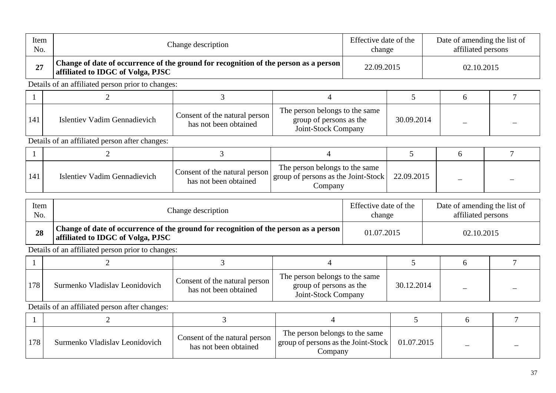| Item<br>No. |                                                                                                                           | Change description                                     |                                                                                                                                  |                                 | Effective date of the<br>change | Date of amending the list of<br>affiliated persons |                                                    |                |  |
|-------------|---------------------------------------------------------------------------------------------------------------------------|--------------------------------------------------------|----------------------------------------------------------------------------------------------------------------------------------|---------------------------------|---------------------------------|----------------------------------------------------|----------------------------------------------------|----------------|--|
| 27          | Change of date of occurrence of the ground for recognition of the person as a person<br>affiliated to IDGC of Volga, PJSC |                                                        |                                                                                                                                  | 22.09.2015                      |                                 |                                                    | 02.10.2015                                         |                |  |
|             | Details of an affiliated person prior to changes:                                                                         |                                                        |                                                                                                                                  |                                 |                                 |                                                    |                                                    |                |  |
|             | $\overline{2}$                                                                                                            | 3                                                      | $\overline{4}$                                                                                                                   |                                 | $5\overline{)}$                 |                                                    | 6                                                  | $\overline{7}$ |  |
| 141         | Islentiev Vadim Gennadievich                                                                                              | Consent of the natural person<br>has not been obtained | The person belongs to the same<br>group of persons as the<br>Joint-Stock Company                                                 |                                 | 30.09.2014                      |                                                    |                                                    |                |  |
|             | Details of an affiliated person after changes:                                                                            |                                                        |                                                                                                                                  |                                 |                                 |                                                    |                                                    |                |  |
|             | $\overline{2}$                                                                                                            | 3                                                      | $\overline{4}$                                                                                                                   |                                 | 5                               |                                                    | 6                                                  | 7              |  |
| 141         | <b>Islentiev Vadim Gennadievich</b>                                                                                       | Consent of the natural person<br>has not been obtained | The person belongs to the same<br>group of persons as the Joint-Stock<br>Company                                                 |                                 | 22.09.2015                      |                                                    |                                                    |                |  |
| Item<br>No. |                                                                                                                           | Change description                                     |                                                                                                                                  | Effective date of the<br>change |                                 |                                                    | Date of amending the list of<br>affiliated persons |                |  |
| 28          | Change of date of occurrence of the ground for recognition of the person as a person<br>affiliated to IDGC of Volga, PJSC |                                                        |                                                                                                                                  | 01.07.2015                      |                                 | 02.10.2015                                         |                                                    |                |  |
|             | Details of an affiliated person prior to changes:                                                                         |                                                        |                                                                                                                                  |                                 |                                 |                                                    |                                                    |                |  |
| 1           | $\overline{2}$                                                                                                            | 3                                                      | $\overline{4}$                                                                                                                   |                                 | $5\overline{)}$                 |                                                    | 6                                                  | $\overline{7}$ |  |
| 178         | Surmenko Vladislav Leonidovich                                                                                            | Consent of the natural person<br>has not been obtained | The person belongs to the same<br>group of persons as the<br>Joint-Stock Company                                                 |                                 | 30.12.2014                      |                                                    |                                                    |                |  |
|             | Details of an affiliated person after changes:                                                                            |                                                        |                                                                                                                                  |                                 |                                 |                                                    |                                                    |                |  |
|             | 2                                                                                                                         | 3                                                      | $\overline{4}$                                                                                                                   |                                 | 5                               |                                                    | 6                                                  | $\overline{7}$ |  |
| 178         | Surmenko Vladislav Leonidovich                                                                                            | Consent of the natural person<br>has not been obtained | The person belongs to the same<br>group of persons as the Joint-Stock<br>$\sim$ $\sim$ $\sim$ $\sim$ $\sim$ $\sim$ $\sim$ $\sim$ |                                 | 01.07.2015                      |                                                    |                                                    |                |  |

Company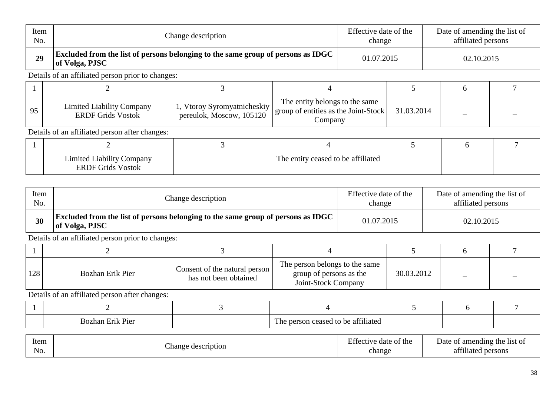| Item<br>No. |                                                              | Change description                                                               |                                                                                   |  |            | Date of amending the list of<br>affiliated persons |            |  |  |
|-------------|--------------------------------------------------------------|----------------------------------------------------------------------------------|-----------------------------------------------------------------------------------|--|------------|----------------------------------------------------|------------|--|--|
| 29          | of Volga, PJSC                                               | Excluded from the list of persons belonging to the same group of persons as IDGC |                                                                                   |  | 01.07.2015 |                                                    | 02.10.2015 |  |  |
|             | Details of an affiliated person prior to changes:            |                                                                                  |                                                                                   |  |            |                                                    |            |  |  |
|             |                                                              |                                                                                  |                                                                                   |  |            |                                                    | 6          |  |  |
| 95          | <b>Limited Liability Company</b><br><b>ERDF Grids Vostok</b> | 1, Vtoroy Syromyatnicheskiy<br>pereulok, Moscow, 105120                          | The entity belongs to the same<br>group of entities as the Joint-Stock<br>Company |  | 31.03.2014 |                                                    |            |  |  |
|             | Details of an affiliated person after changes:               |                                                                                  |                                                                                   |  |            |                                                    |            |  |  |
|             |                                                              | 3                                                                                |                                                                                   |  |            |                                                    | 6          |  |  |
|             | <b>Limited Liability Company</b><br><b>ERDF Grids Vostok</b> |                                                                                  | The entity ceased to be affiliated                                                |  |            |                                                    |            |  |  |

| Item | Change description                                                                                 | Effective date of the | Date of amending the list of |  |
|------|----------------------------------------------------------------------------------------------------|-----------------------|------------------------------|--|
| No.  |                                                                                                    | change                | affiliated persons           |  |
| 30   | Excluded from the list of persons belonging to the same group of persons as IDGC<br>of Volga, PJSC | 01.07.2015            | 02.10.2015                   |  |

| 128 | Bozhan Erik Pier | Consent of the natural person<br>has not been obtained | The person belongs to the same<br>group of persons as the<br>Joint-Stock Company | 30.03.2012 |  |
|-----|------------------|--------------------------------------------------------|----------------------------------------------------------------------------------|------------|--|

| $\sim$<br><b>Bozhan</b><br>P <sub>1</sub> er<br>トック | 0011<br>-<br>t to be affiliated<br>0.0000<br>. . |  |  |
|-----------------------------------------------------|--------------------------------------------------|--|--|

| Item<br>No. | e description<br>hange | $\mathbf{r}$ $\alpha$<br>ffective date of the<br>change | f amending the list of<br>Jate<br>- OT<br>0.011<br>persons<br>-af<br>tiliotad |
|-------------|------------------------|---------------------------------------------------------|-------------------------------------------------------------------------------|
|-------------|------------------------|---------------------------------------------------------|-------------------------------------------------------------------------------|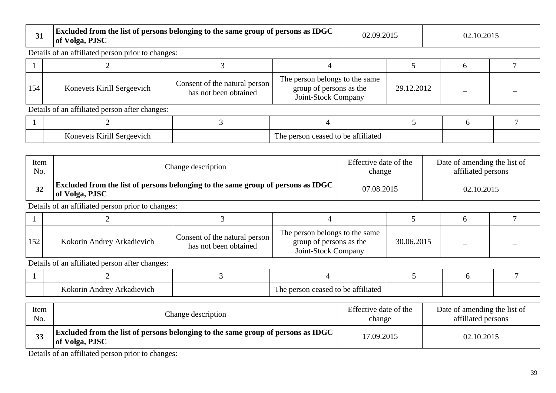| 31  | of Volga, PJSC                                    | Excluded from the list of persons belonging to the same group of persons as IDGC |                                                                                  |  | 02.09.2015 | 02.10.2015 |  |  |  |
|-----|---------------------------------------------------|----------------------------------------------------------------------------------|----------------------------------------------------------------------------------|--|------------|------------|--|--|--|
|     | Details of an affiliated person prior to changes: |                                                                                  |                                                                                  |  |            |            |  |  |  |
|     |                                                   |                                                                                  |                                                                                  |  |            |            |  |  |  |
| 154 | Konevets Kirill Sergeevich                        | Consent of the natural person<br>has not been obtained                           | The person belongs to the same<br>group of persons as the<br>Joint-Stock Company |  | 29.12.2012 |            |  |  |  |
|     | Details of an affiliated person after changes:    |                                                                                  |                                                                                  |  |            |            |  |  |  |
|     |                                                   |                                                                                  |                                                                                  |  |            |            |  |  |  |
|     | Konevets Kirill Sergeevich                        |                                                                                  | The person ceased to be affiliated                                               |  |            |            |  |  |  |

| Item | Change description                                                                                        | Effective date of the | Date of amending the list of |
|------|-----------------------------------------------------------------------------------------------------------|-----------------------|------------------------------|
| No.  |                                                                                                           | change                | affiliated persons           |
| 32   | <b>Excluded from the list of persons belonging to the same group of persons as IDGC</b><br>of Volga, PJSC | 07.08.2015            | 02.10.2015                   |

| 152 | Kokorin Andrey Arkadievich | Consent of the natural person<br>has not been obtained | The person belongs to the same<br>group of persons as the<br>Joint-Stock Company | 30.06.2015 |  |
|-----|----------------------------|--------------------------------------------------------|----------------------------------------------------------------------------------|------------|--|

Details of an affiliated person after changes:

| Arkadievich<br>------<br>Andrey | Ē<br>tΩ<br>hΔ<br>attiliated<br>1 he<br>nanc |  |  |
|---------------------------------|---------------------------------------------|--|--|

| Item | Change description                                                                                        | Effective date of the | Date of amending the list of |
|------|-----------------------------------------------------------------------------------------------------------|-----------------------|------------------------------|
| No.  |                                                                                                           | change                | affiliated persons           |
| 33   | <b>Excluded from the list of persons belonging to the same group of persons as IDGC</b><br>of Volga, PJSC | 17.09.2015            | 02.10.2015                   |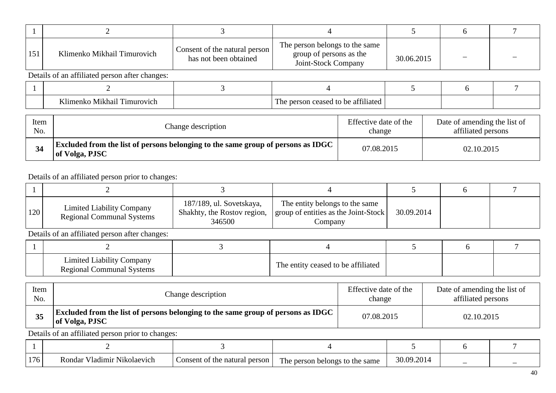| 151 | Klimenko Mikhail Timurovich                    | Consent of the natural person<br>has not been obtained | The person belongs to the same<br>group of persons as the<br>Joint-Stock Company | 30.06.2015 |  |  |  |  |  |  |  |
|-----|------------------------------------------------|--------------------------------------------------------|----------------------------------------------------------------------------------|------------|--|--|--|--|--|--|--|
|     | Details of an affiliated person after changes: |                                                        |                                                                                  |            |  |  |  |  |  |  |  |
|     |                                                |                                                        |                                                                                  |            |  |  |  |  |  |  |  |
|     | Klimenko Mikhail Timurovich                    |                                                        | The person ceased to be affiliated                                               |            |  |  |  |  |  |  |  |

| Item | Change description                                                                                        | Effective date of the | Date of amending the list of |
|------|-----------------------------------------------------------------------------------------------------------|-----------------------|------------------------------|
| No.  |                                                                                                           | change                | affiliated persons           |
| 34   | <b>Excluded from the list of persons belonging to the same group of persons as IDGC</b><br>of Volga, PJSC | 07.08.2015            | 02.10.2015                   |

| <sup>120</sup> | <b>Limited Liability Company</b><br><b>Regional Communal Systems</b> | 187/189, ul. Sovetskaya,<br>Shakhty, the Rostov region,<br>346500 | The entity belongs to the same<br>group of entities as the Joint-Stock<br>Company | 30.09.2014 |  |
|----------------|----------------------------------------------------------------------|-------------------------------------------------------------------|-----------------------------------------------------------------------------------|------------|--|

Details of an affiliated person after changes:

| <b>Limited Liability Company</b><br><b>Regional Communal Systems</b> | The entity ceased to be affiliated |  |  |
|----------------------------------------------------------------------|------------------------------------|--|--|

| Item | Change description                                                                                        | Effective date of the | Date of amending the list of |
|------|-----------------------------------------------------------------------------------------------------------|-----------------------|------------------------------|
| No.  |                                                                                                           | change                | affiliated persons           |
| 35   | <b>Excluded from the list of persons belonging to the same group of persons as IDGC</b><br>of Volga, PJSC | 07.08.2015            | 02.10.2015                   |

| 176 | $\mathbf{v}$<br>/ladımır<br>Nikolaevich<br>.ondar | Consent of the<br>e natural person | The person<br>same<br>r belongs to the : | 30.09.201 |  |
|-----|---------------------------------------------------|------------------------------------|------------------------------------------|-----------|--|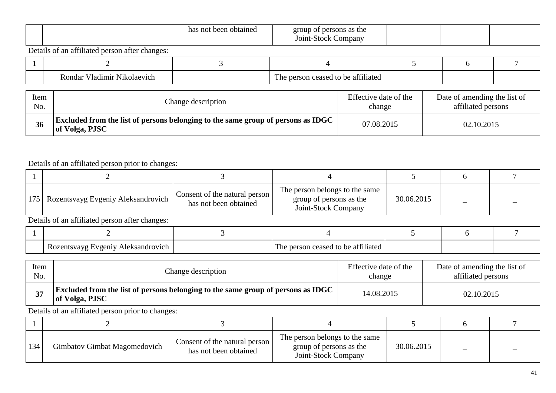|  |  | obtained<br>haan<br>nas<br>no<br>DC | group<br>thersons as the<br>$\sim$<br>- 12<br>$\bullet$<br>Jompany<br>O1nt.<br>Stock |  |  |  |
|--|--|-------------------------------------|--------------------------------------------------------------------------------------|--|--|--|
|--|--|-------------------------------------|--------------------------------------------------------------------------------------|--|--|--|

| - - -<br>- - - -<br>Nikolaevi<br>. Jadimir<br>dar<br>∩n | ott.<br>1l1ate<br>nΔ<br>1 ne |  |  |
|---------------------------------------------------------|------------------------------|--|--|

| Item | Change description                                                                                   | Effective date of the | Date of amending the list of |
|------|------------------------------------------------------------------------------------------------------|-----------------------|------------------------------|
| No.  |                                                                                                      | change                | affiliated persons           |
| 36   | Excluded from the list of persons belonging to the same group of persons as IDGC +<br>of Volga, PJSC | 07.08.2015            | 02.10.2015                   |

### Details of an affiliated person prior to changes:

| 175   Rozentsvayg Evgeniy Aleksandrovich       | Consent of the natural person<br>has not been obtained | The person belongs to the same<br>group of persons as the<br>Joint-Stock Company | 30.06.2015 |  |  |  |  |  |  |
|------------------------------------------------|--------------------------------------------------------|----------------------------------------------------------------------------------|------------|--|--|--|--|--|--|
| Details of an affiliated person after changes: |                                                        |                                                                                  |            |  |  |  |  |  |  |
|                                                |                                                        |                                                                                  |            |  |  |  |  |  |  |

| zeniv<br>1012<br>ິດາ<br>37 O<br>71C<br>.<br>. . | - --<br>r ue<br>ate<br>. J L |  |  |
|-------------------------------------------------|------------------------------|--|--|

| Item | Change description                                                                                        | Effective date of the | Date of amending the list of |
|------|-----------------------------------------------------------------------------------------------------------|-----------------------|------------------------------|
| No.  |                                                                                                           | change                | affiliated persons           |
|      | <b>Excluded from the list of persons belonging to the same group of persons as IDGC</b><br>of Volga, PJSC | 14.08.2015            | 02.10.2015                   |

| 134 | Gimbatov Gimbat Magomedovich | Consent of the natural person<br>has not been obtained | The person belongs to the same<br>group of persons as the<br>Joint-Stock Company | 30.06.2015 |  |
|-----|------------------------------|--------------------------------------------------------|----------------------------------------------------------------------------------|------------|--|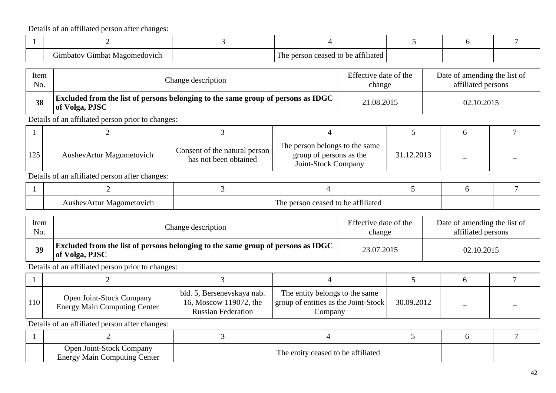| r.<br>u imbatov L<br>Gimbat Magomedovich | 1 to be affiliated<br>1 <sub>ne</sub><br>person ceased. |  |  |
|------------------------------------------|---------------------------------------------------------|--|--|

| Item | Change description                                                                                        | Effective date of the | Date of amending the list of |
|------|-----------------------------------------------------------------------------------------------------------|-----------------------|------------------------------|
| No.  |                                                                                                           | change                | affiliated persons           |
| 38   | <b>Excluded from the list of persons belonging to the same group of persons as IDGC</b><br>of Volga, PJSC | 21.08.2015            | 02.10.2015                   |

Details of an affiliated person prior to changes:

| 125 | AushevArtur Magometovich | Consent of the natural person<br>has not been obtained | The person belongs to the same<br>group of persons as the<br>Joint-Stock Company | 31.12.2013 |  |
|-----|--------------------------|--------------------------------------------------------|----------------------------------------------------------------------------------|------------|--|

Details of an affiliated person after changes:

| AushevArtur Magometovich | e person ceased to be affiliated<br>1 he |  |  |
|--------------------------|------------------------------------------|--|--|

| Item | Change description                                                                                   | Effective date of the | Date of amending the list of |
|------|------------------------------------------------------------------------------------------------------|-----------------------|------------------------------|
| No.  |                                                                                                      | change                | affiliated persons           |
| 39   | Excluded from the list of persons belonging to the same group of persons as IDGC  <br>of Volga, PJSC | 23.07.2015            | 02.10.2015                   |

Details of an affiliated person prior to changes:

| 110 | <b>Open Joint-Stock Company</b><br><b>Energy Main Computing Center</b> | bld. 5, Bersenevskaya nab.<br>16, Moscow 119072, the<br><b>Russian Federation</b> | The entity belongs to the same<br>group of entities as the Joint-Stock<br>Company | 30.09.2012 |  |
|-----|------------------------------------------------------------------------|-----------------------------------------------------------------------------------|-----------------------------------------------------------------------------------|------------|--|

| <b>Open Joint-Stock Company</b><br><b>Energy Main Computing Center</b> | The entity ceased to be affiliated |  |  |
|------------------------------------------------------------------------|------------------------------------|--|--|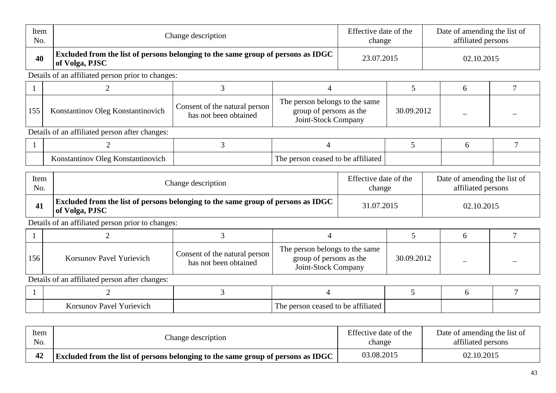| Item<br>No.  |                                                                                                    | Change description                                                               |                                                                                  |                                 | Effective date of the<br>change | Date of amending the list of<br>affiliated persons |                                                    |                |
|--------------|----------------------------------------------------------------------------------------------------|----------------------------------------------------------------------------------|----------------------------------------------------------------------------------|---------------------------------|---------------------------------|----------------------------------------------------|----------------------------------------------------|----------------|
| 40           | Excluded from the list of persons belonging to the same group of persons as IDGC<br>of Volga, PJSC |                                                                                  |                                                                                  | 23.07.2015                      |                                 |                                                    | 02.10.2015                                         |                |
|              | Details of an affiliated person prior to changes:                                                  |                                                                                  |                                                                                  |                                 |                                 |                                                    |                                                    |                |
| $\mathbf{1}$ | $\overline{2}$                                                                                     | 3                                                                                | $\overline{4}$                                                                   |                                 | 5                               |                                                    | 6                                                  | $\overline{7}$ |
| 155          | Konstantinov Oleg Konstantinovich                                                                  | Consent of the natural person<br>has not been obtained                           | The person belongs to the same<br>group of persons as the<br>Joint-Stock Company |                                 | 30.09.2012                      |                                                    |                                                    |                |
|              | Details of an affiliated person after changes:                                                     |                                                                                  |                                                                                  |                                 |                                 |                                                    |                                                    |                |
|              | $\overline{2}$                                                                                     | 3                                                                                | 4                                                                                |                                 | $5\overline{)}$                 |                                                    | 6                                                  | $\overline{7}$ |
|              | Konstantinov Oleg Konstantinovich                                                                  |                                                                                  | The person ceased to be affiliated                                               |                                 |                                 |                                                    |                                                    |                |
| Item<br>No.  |                                                                                                    | Change description                                                               |                                                                                  | Effective date of the<br>change |                                 |                                                    | Date of amending the list of<br>affiliated persons |                |
| 41           | Excluded from the list of persons belonging to the same group of persons as IDGC<br>of Volga, PJSC |                                                                                  |                                                                                  | 31.07.2015                      |                                 |                                                    | 02.10.2015                                         |                |
|              | Details of an affiliated person prior to changes:                                                  |                                                                                  |                                                                                  |                                 |                                 |                                                    |                                                    |                |
| 1            | $\overline{2}$                                                                                     | $\overline{3}$                                                                   | $\overline{4}$                                                                   |                                 | 5                               |                                                    | 6                                                  | $\overline{7}$ |
| 156          | <b>Korsunov Pavel Yurievich</b>                                                                    | Consent of the natural person<br>has not been obtained                           | The person belongs to the same<br>group of persons as the<br>Joint-Stock Company |                                 | 30.09.2012                      |                                                    |                                                    |                |
|              | Details of an affiliated person after changes:                                                     |                                                                                  |                                                                                  |                                 |                                 |                                                    |                                                    |                |
|              | 2                                                                                                  | 3                                                                                | $\overline{4}$                                                                   |                                 | 5                               |                                                    | 6                                                  | $\overline{7}$ |
|              | Korsunov Pavel Yurievich                                                                           |                                                                                  | The person ceased to be affiliated                                               |                                 |                                 |                                                    |                                                    |                |
|              |                                                                                                    |                                                                                  |                                                                                  |                                 |                                 |                                                    |                                                    |                |
| Item<br>No.  |                                                                                                    | Change description                                                               |                                                                                  | Effective date of the<br>change |                                 |                                                    | Date of amending the list of<br>affiliated persons |                |
| 42           |                                                                                                    | Excluded from the list of persons belonging to the same group of persons as IDGC |                                                                                  |                                 | 03.08.2015                      |                                                    | 02.10.2015                                         |                |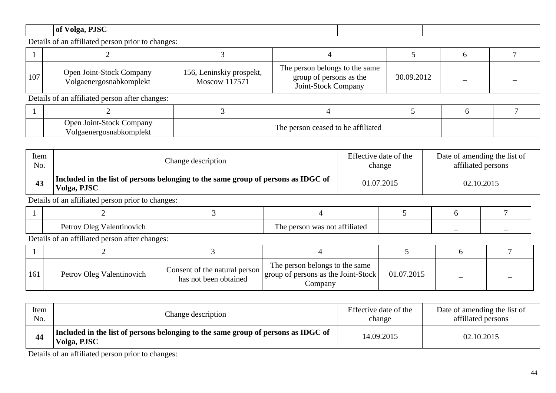# **of Volga, PJSC**

Details of an affiliated person prior to changes:

| 107 | Open Joint-Stock Company<br>Volgaenergosnabkomplekt | 156, Leninskiy prospekt,<br>Moscow 117571 | The person belongs to the same<br>group of persons as the<br>Joint-Stock Company | 30.09.2012 |  |
|-----|-----------------------------------------------------|-------------------------------------------|----------------------------------------------------------------------------------|------------|--|
|     | Details of an affiliated person after changes:      |                                           |                                                                                  |            |  |

| Open Joint-Stock Company<br>gosnabkomplekt | The person ceased to be affiliated |  |  |
|--------------------------------------------|------------------------------------|--|--|

| Item | Change description                                                                               | Effective date of the | Date of amending the list of |
|------|--------------------------------------------------------------------------------------------------|-----------------------|------------------------------|
| No.  |                                                                                                  | change                | affiliated persons           |
| 43   | Included in the list of persons belonging to the same group of persons as IDGC of<br>Volga, PJSC | 01.07.2015            | 02.10.2015                   |

Details of an affiliated person prior to changes:

| Oleq<br>Valentinovich<br>Petrov | s not affiliated<br>person was<br>1 he |  |  |
|---------------------------------|----------------------------------------|--|--|

Details of an affiliated person after changes:

| 161 | Petrov Oleg Valentinovich | Consent of the natural person<br>has not been obtained | The person belongs to the same<br>group of persons as the Joint-Stock<br>Companv | 01.07.2015 |  |
|-----|---------------------------|--------------------------------------------------------|----------------------------------------------------------------------------------|------------|--|

| Item | Change description                                                                               | Effective date of the | Date of amending the list of |
|------|--------------------------------------------------------------------------------------------------|-----------------------|------------------------------|
| No.  |                                                                                                  | change                | affiliated persons           |
| 44   | Included in the list of persons belonging to the same group of persons as IDGC of<br>Volga, PJSC | 14.09.2015            | 02.10.2015                   |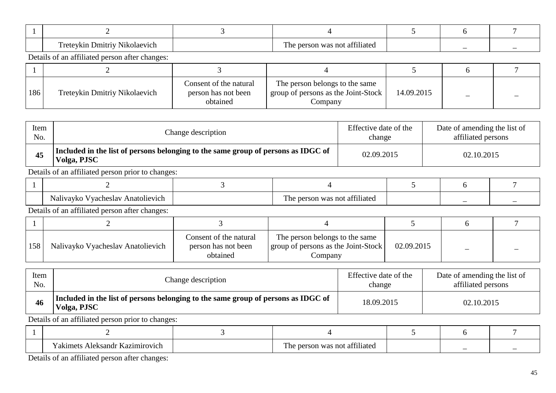| œ<br>Nikolaevich<br>$\mathbf{m}$<br>$-0.77774$<br>⊷ | m.<br>≅not affiliateu<br>. was<br>nerson<br>1 H L |  |  |
|-----------------------------------------------------|---------------------------------------------------|--|--|

| 186 | Treteykin Dmitriy Nikolaevich | Consent of the natural<br>person has not been<br>obtained | The person belongs to the same<br>group of persons as the Joint-Stock<br>Company | 14.09.2015 |  |
|-----|-------------------------------|-----------------------------------------------------------|----------------------------------------------------------------------------------|------------|--|

| Item | Change description                                                                               | Effective date of the | Date of amending the list of |
|------|--------------------------------------------------------------------------------------------------|-----------------------|------------------------------|
| No.  |                                                                                                  | change                | affiliated persons           |
| 45   | Included in the list of persons belonging to the same group of persons as IDGC of<br>Volga, PJSC | 02.09.2015            | 02.10.2015                   |

Details of an affiliated person prior to changes:

| $\mathbf{1}$<br>Anatolievich<br>Vyacheslav<br><b>Nalivaykc</b> | $\sim$ $\sim$ 1.1<br>$\mathbf{r}$<br>e person was not affiliated | - |  |
|----------------------------------------------------------------|------------------------------------------------------------------|---|--|

Details of an affiliated person after changes:

| 158 | Nalivayko Vyacheslav Anatolievich | Consent of the natural<br>person has not been<br>obtained | The person belongs to the same<br>group of persons as the Joint-Stock<br>Company | 02.09.2015 |  |
|-----|-----------------------------------|-----------------------------------------------------------|----------------------------------------------------------------------------------|------------|--|

| Item | Change description                                                                               | Effective date of the | Date of amending the list of |
|------|--------------------------------------------------------------------------------------------------|-----------------------|------------------------------|
| No.  |                                                                                                  | change                | affiliated persons           |
| 46   | Included in the list of persons belonging to the same group of persons as IDGC of<br>Volga, PJSC | 18.09.2015            | 02.10.2015                   |

Details of an affiliated person prior to changes:

| $\mathbf{r}$<br>Aleksandr Kazımırovich<br>akımets ' | .<br><b>m</b><br>า was not affiliated<br>1 he<br>person |  |  |
|-----------------------------------------------------|---------------------------------------------------------|--|--|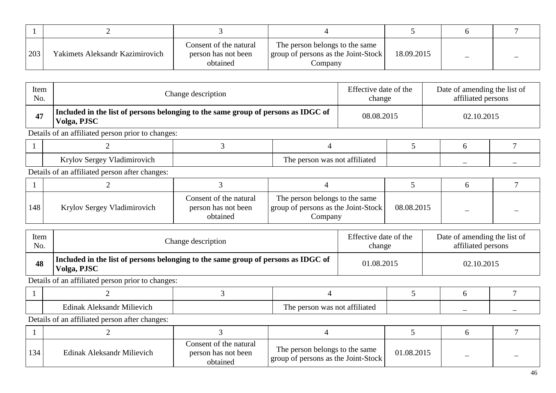| 203 | Yakimets Aleksandr Kazimirovich | Consent of the natural<br>person has not been<br>obtained | The person belongs to the same<br>group of persons as the Joint-Stock<br>Company | 18.09.2015 |  |
|-----|---------------------------------|-----------------------------------------------------------|----------------------------------------------------------------------------------|------------|--|

| Item<br>No. |                                                   | Change description                                                                |                               |                                                                                  | Effective date of the<br>change |            | Date of amending the list of<br>affiliated persons |   |
|-------------|---------------------------------------------------|-----------------------------------------------------------------------------------|-------------------------------|----------------------------------------------------------------------------------|---------------------------------|------------|----------------------------------------------------|---|
| 47          | Volga, PJSC                                       | Included in the list of persons belonging to the same group of persons as IDGC of |                               |                                                                                  | 08.08.2015                      |            | 02.10.2015                                         |   |
|             | Details of an affiliated person prior to changes: |                                                                                   |                               |                                                                                  |                                 |            |                                                    |   |
|             | 2                                                 | 3                                                                                 | $\overline{4}$                |                                                                                  | 5                               |            | 6                                                  |   |
|             | Krylov Sergey Vladimirovich                       |                                                                                   |                               | The person was not affiliated                                                    |                                 |            |                                                    |   |
|             | Details of an affiliated person after changes:    |                                                                                   |                               |                                                                                  |                                 |            |                                                    |   |
|             | $\overline{2}$                                    | 3                                                                                 | 4                             |                                                                                  | 5 <sup>5</sup>                  |            | 6                                                  |   |
| 148         | Krylov Sergey Vladimirovich                       | Consent of the natural<br>person has not been<br>obtained                         |                               | The person belongs to the same<br>group of persons as the Joint-Stock<br>Company |                                 | 08.08.2015 |                                                    |   |
| Item<br>No. |                                                   | Change description                                                                |                               |                                                                                  | Effective date of the<br>change |            | Date of amending the list of<br>affiliated persons |   |
| 48          | Volga, PJSC                                       | Included in the list of persons belonging to the same group of persons as IDGC of |                               |                                                                                  | 01.08.2015                      |            | 02.10.2015                                         |   |
|             | Details of an affiliated person prior to changes: |                                                                                   |                               |                                                                                  |                                 |            |                                                    |   |
|             | 2                                                 | 3                                                                                 | 4                             |                                                                                  | 5                               |            | 6                                                  | 7 |
|             | <b>Edinak Aleksandr Milievich</b>                 |                                                                                   | The person was not affiliated |                                                                                  |                                 |            |                                                    |   |

| 134 | Edinak Aleksandr Milievich | Consent of the natural<br>person has not been<br>obtained | The person belongs to the same<br>group of persons as the Joint-Stock | 01.08.2015 |  |
|-----|----------------------------|-----------------------------------------------------------|-----------------------------------------------------------------------|------------|--|